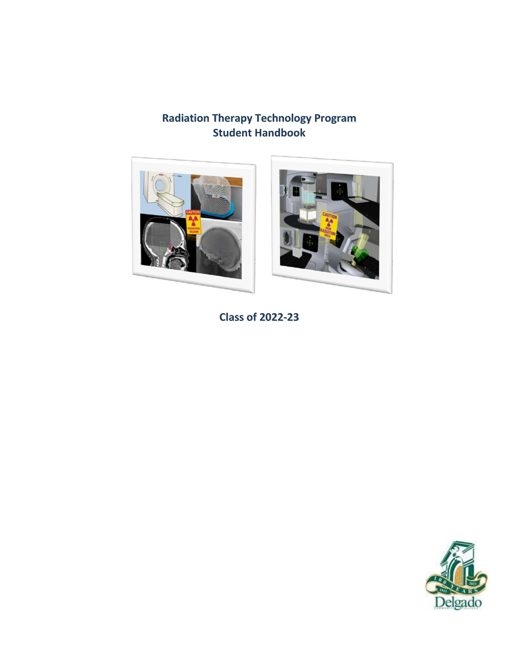# **Radiation Therapy Technology Program Student Handbook**



**Class of 2022-23**

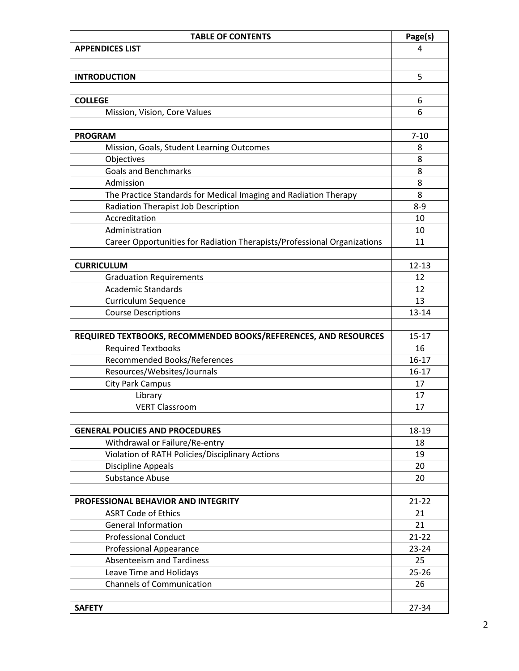| <b>TABLE OF CONTENTS</b>                                                 | Page(s)   |
|--------------------------------------------------------------------------|-----------|
| <b>APPENDICES LIST</b>                                                   | 4         |
|                                                                          |           |
| <b>INTRODUCTION</b>                                                      | 5         |
|                                                                          |           |
| <b>COLLEGE</b>                                                           | 6         |
| Mission, Vision, Core Values                                             | 6         |
|                                                                          |           |
| <b>PROGRAM</b>                                                           | $7 - 10$  |
| Mission, Goals, Student Learning Outcomes                                | 8         |
| Objectives                                                               | 8         |
| <b>Goals and Benchmarks</b>                                              | 8         |
| Admission                                                                | 8         |
| The Practice Standards for Medical Imaging and Radiation Therapy         | 8         |
| Radiation Therapist Job Description                                      | $8 - 9$   |
| Accreditation                                                            | 10        |
| Administration                                                           | 10        |
| Career Opportunities for Radiation Therapists/Professional Organizations | 11        |
|                                                                          |           |
| <b>CURRICULUM</b>                                                        | $12 - 13$ |
| <b>Graduation Requirements</b>                                           | 12        |
| <b>Academic Standards</b>                                                | 12        |
| Curriculum Sequence                                                      | 13        |
| <b>Course Descriptions</b>                                               | 13-14     |
|                                                                          |           |
| REQUIRED TEXTBOOKS, RECOMMENDED BOOKS/REFERENCES, AND RESOURCES          | $15 - 17$ |
| <b>Required Textbooks</b>                                                | 16        |
| Recommended Books/References                                             | $16 - 17$ |
| Resources/Websites/Journals                                              | $16 - 17$ |
| <b>City Park Campus</b>                                                  | 17        |
| Library                                                                  | 17        |
| <b>VERT Classroom</b>                                                    | 17        |
|                                                                          |           |
| <b>GENERAL POLICIES AND PROCEDURES</b>                                   | 18-19     |
| Withdrawal or Failure/Re-entry                                           | 18        |
| Violation of RATH Policies/Disciplinary Actions                          | 19        |
| <b>Discipline Appeals</b>                                                | 20        |
| Substance Abuse                                                          | 20        |
|                                                                          |           |
| PROFESSIONAL BEHAVIOR AND INTEGRITY                                      | $21 - 22$ |
| <b>ASRT Code of Ethics</b>                                               | 21        |
| <b>General Information</b>                                               | 21        |
| <b>Professional Conduct</b>                                              | $21 - 22$ |
| <b>Professional Appearance</b>                                           | $23 - 24$ |
| <b>Absenteeism and Tardiness</b>                                         | 25        |
| Leave Time and Holidays                                                  | $25 - 26$ |
| <b>Channels of Communication</b>                                         | 26        |
|                                                                          |           |
| <b>SAFETY</b>                                                            | 27-34     |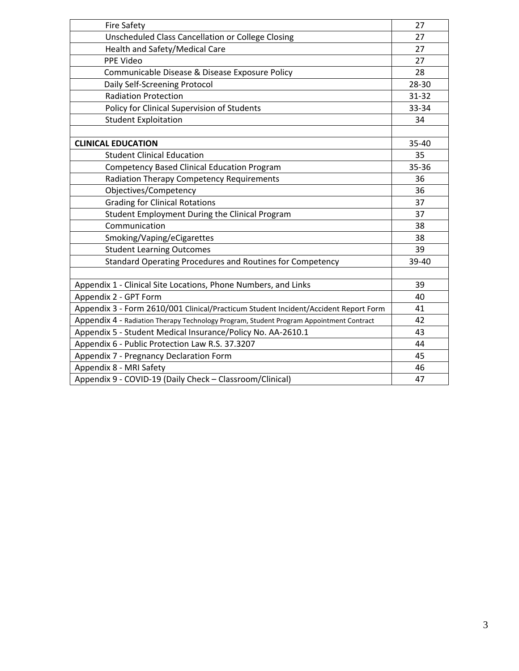| <b>Fire Safety</b>                                                                      | 27    |
|-----------------------------------------------------------------------------------------|-------|
| Unscheduled Class Cancellation or College Closing                                       | 27    |
| Health and Safety/Medical Care                                                          | 27    |
| PPE Video                                                                               | 27    |
| Communicable Disease & Disease Exposure Policy                                          | 28    |
| Daily Self-Screening Protocol                                                           | 28-30 |
| <b>Radiation Protection</b>                                                             | 31-32 |
| Policy for Clinical Supervision of Students                                             | 33-34 |
| <b>Student Exploitation</b>                                                             | 34    |
|                                                                                         |       |
| <b>CLINICAL EDUCATION</b>                                                               | 35-40 |
| <b>Student Clinical Education</b>                                                       | 35    |
| <b>Competency Based Clinical Education Program</b>                                      | 35-36 |
| <b>Radiation Therapy Competency Requirements</b>                                        | 36    |
| Objectives/Competency                                                                   | 36    |
| <b>Grading for Clinical Rotations</b>                                                   | 37    |
| Student Employment During the Clinical Program                                          | 37    |
| Communication                                                                           | 38    |
| Smoking/Vaping/eCigarettes                                                              | 38    |
| <b>Student Learning Outcomes</b>                                                        | 39    |
| Standard Operating Procedures and Routines for Competency                               | 39-40 |
|                                                                                         |       |
| Appendix 1 - Clinical Site Locations, Phone Numbers, and Links                          | 39    |
| Appendix 2 - GPT Form                                                                   | 40    |
| Appendix 3 - Form 2610/001 Clinical/Practicum Student Incident/Accident Report Form     | 41    |
| Appendix 4 - Radiation Therapy Technology Program, Student Program Appointment Contract | 42    |
| Appendix 5 - Student Medical Insurance/Policy No. AA-2610.1                             | 43    |
| Appendix 6 - Public Protection Law R.S. 37.3207                                         | 44    |
| Appendix 7 - Pregnancy Declaration Form                                                 | 45    |
| Appendix 8 - MRI Safety                                                                 | 46    |
| Appendix 9 - COVID-19 (Daily Check - Classroom/Clinical)                                | 47    |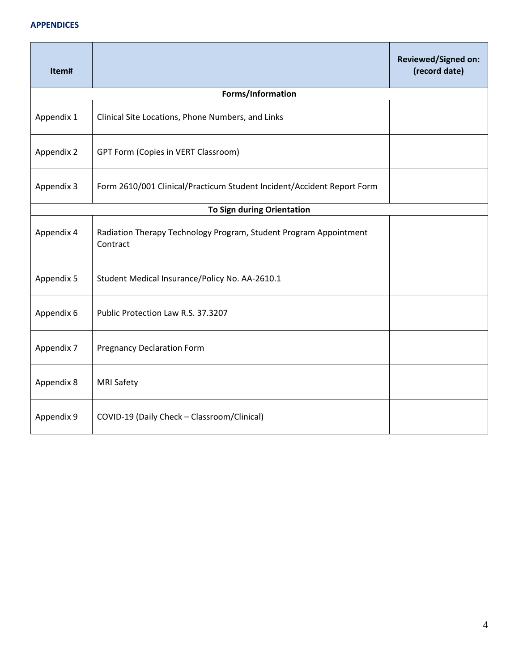#### **APPENDICES**

| Item#      |                                                                               | <b>Reviewed/Signed on:</b><br>(record date) |
|------------|-------------------------------------------------------------------------------|---------------------------------------------|
|            | Forms/Information                                                             |                                             |
| Appendix 1 | Clinical Site Locations, Phone Numbers, and Links                             |                                             |
| Appendix 2 | <b>GPT Form (Copies in VERT Classroom)</b>                                    |                                             |
| Appendix 3 | Form 2610/001 Clinical/Practicum Student Incident/Accident Report Form        |                                             |
|            | To Sign during Orientation                                                    |                                             |
| Appendix 4 | Radiation Therapy Technology Program, Student Program Appointment<br>Contract |                                             |
| Appendix 5 | Student Medical Insurance/Policy No. AA-2610.1                                |                                             |
| Appendix 6 | Public Protection Law R.S. 37.3207                                            |                                             |
| Appendix 7 | <b>Pregnancy Declaration Form</b>                                             |                                             |
| Appendix 8 | <b>MRI Safety</b>                                                             |                                             |
| Appendix 9 | COVID-19 (Daily Check - Classroom/Clinical)                                   |                                             |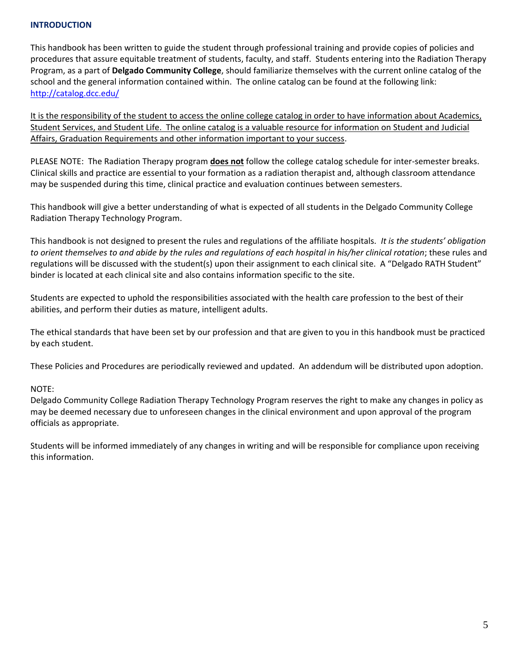### **INTRODUCTION**

This handbook has been written to guide the student through professional training and provide copies of policies and procedures that assure equitable treatment of students, faculty, and staff. Students entering into the Radiation Therapy Program, as a part of **Delgado Community College**, should familiarize themselves with the current online catalog of the school and the general information contained within. The online catalog can be found at the following link: <http://catalog.dcc.edu/>

It is the responsibility of the student to access the online college catalog in order to have information about Academics, Student Services, and Student Life. The online catalog is a valuable resource for information on Student and Judicial Affairs, Graduation Requirements and other information important to your success.

PLEASE NOTE: The Radiation Therapy program **does not** follow the college catalog schedule for inter-semester breaks. Clinical skills and practice are essential to your formation as a radiation therapist and, although classroom attendance may be suspended during this time, clinical practice and evaluation continues between semesters.

This handbook will give a better understanding of what is expected of all students in the Delgado Community College Radiation Therapy Technology Program.

This handbook is not designed to present the rules and regulations of the affiliate hospitals. *It is the students' obligation to orient themselves to and abide by the rules and regulations of each hospital in his/her clinical rotation*; these rules and regulations will be discussed with the student(s) upon their assignment to each clinical site. A "Delgado RATH Student" binder is located at each clinical site and also contains information specific to the site.

Students are expected to uphold the responsibilities associated with the health care profession to the best of their abilities, and perform their duties as mature, intelligent adults.

The ethical standards that have been set by our profession and that are given to you in this handbook must be practiced by each student.

These Policies and Procedures are periodically reviewed and updated. An addendum will be distributed upon adoption.

#### NOTE:

Delgado Community College Radiation Therapy Technology Program reserves the right to make any changes in policy as may be deemed necessary due to unforeseen changes in the clinical environment and upon approval of the program officials as appropriate.

Students will be informed immediately of any changes in writing and will be responsible for compliance upon receiving this information.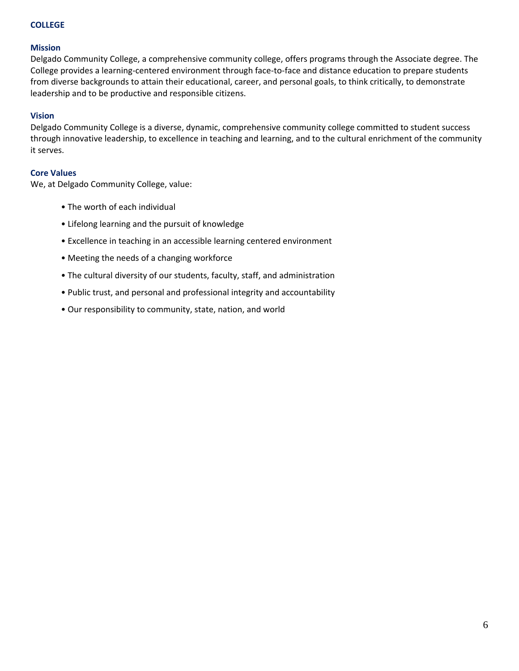### **COLLEGE**

#### **Mission**

Delgado Community College, a comprehensive community college, offers programs through the Associate degree. The College provides a learning-centered environment through face-to-face and distance education to prepare students from diverse backgrounds to attain their educational, career, and personal goals, to think critically, to demonstrate leadership and to be productive and responsible citizens.

### **Vision**

Delgado Community College is a diverse, dynamic, comprehensive community college committed to student success through innovative leadership, to excellence in teaching and learning, and to the cultural enrichment of the community it serves.

#### **Core Values**

We, at Delgado Community College, value:

- The worth of each individual
- Lifelong learning and the pursuit of knowledge
- Excellence in teaching in an accessible learning centered environment
- Meeting the needs of a changing workforce
- The cultural diversity of our students, faculty, staff, and administration
- Public trust, and personal and professional integrity and accountability
- Our responsibility to community, state, nation, and world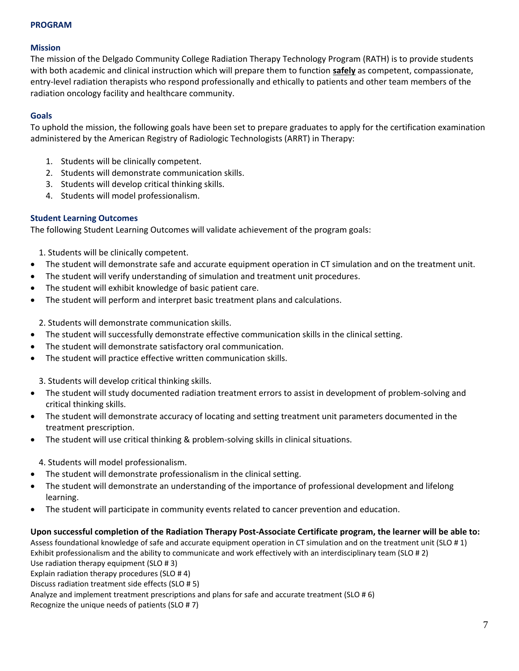#### **PROGRAM**

#### **Mission**

The mission of the Delgado Community College Radiation Therapy Technology Program (RATH) is to provide students with both academic and clinical instruction which will prepare them to function **safely** as competent, compassionate, entry-level radiation therapists who respond professionally and ethically to patients and other team members of the radiation oncology facility and healthcare community.

### **Goals**

To uphold the mission, the following goals have been set to prepare graduates to apply for the certification examination administered by the American Registry of Radiologic Technologists (ARRT) in Therapy:

- 1. Students will be clinically competent.
- 2. Students will demonstrate communication skills.
- 3. Students will develop critical thinking skills.
- 4. Students will model professionalism.

### **Student Learning Outcomes**

The following Student Learning Outcomes will validate achievement of the program goals:

1. Students will be clinically competent.

- The student will demonstrate safe and accurate equipment operation in CT simulation and on the treatment unit.
- The student will verify understanding of simulation and treatment unit procedures.
- The student will exhibit knowledge of basic patient care.
- The student will perform and interpret basic treatment plans and calculations.

2. Students will demonstrate communication skills.

- The student will successfully demonstrate effective communication skills in the clinical setting.
- The student will demonstrate satisfactory oral communication.
- The student will practice effective written communication skills.

3. Students will develop critical thinking skills.

- The student will study documented radiation treatment errors to assist in development of problem-solving and critical thinking skills.
- The student will demonstrate accuracy of locating and setting treatment unit parameters documented in the treatment prescription.
- The student will use critical thinking & problem-solving skills in clinical situations.

4. Students will model professionalism.

- The student will demonstrate professionalism in the clinical setting.
- The student will demonstrate an understanding of the importance of professional development and lifelong learning.
- The student will participate in community events related to cancer prevention and education.

### **Upon successful completion of the Radiation Therapy Post-Associate Certificate program, the learner will be able to:**

Assess foundational knowledge of safe and accurate equipment operation in CT simulation and on the treatment unit (SLO # 1) Exhibit professionalism and the ability to communicate and work effectively with an interdisciplinary team (SLO # 2) Use radiation therapy equipment (SLO # 3)

Explain radiation therapy procedures (SLO # 4)

Discuss radiation treatment side effects (SLO # 5)

Analyze and implement treatment prescriptions and plans for safe and accurate treatment (SLO # 6)

Recognize the unique needs of patients (SLO # 7)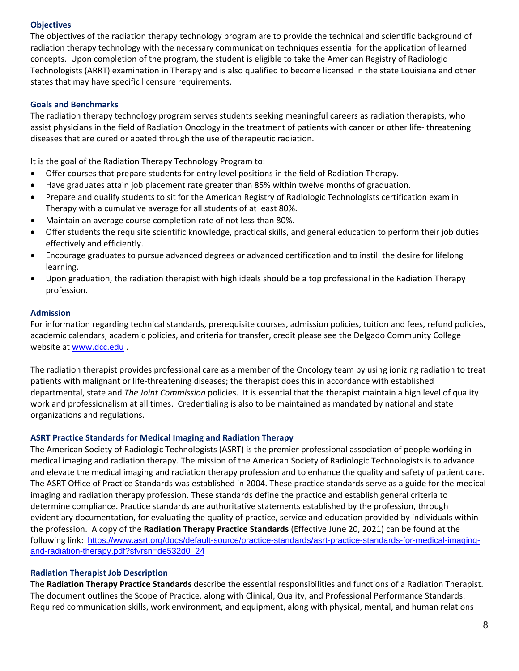### **Objectives**

The objectives of the radiation therapy technology program are to provide the technical and scientific background of radiation therapy technology with the necessary communication techniques essential for the application of learned concepts. Upon completion of the program, the student is eligible to take the American Registry of Radiologic Technologists (ARRT) examination in Therapy and is also qualified to become licensed in the state Louisiana and other states that may have specific licensure requirements.

### **Goals and Benchmarks**

The radiation therapy technology program serves students seeking meaningful careers as radiation therapists, who assist physicians in the field of Radiation Oncology in the treatment of patients with cancer or other life- threatening diseases that are cured or abated through the use of therapeutic radiation.

It is the goal of the Radiation Therapy Technology Program to:

- Offer courses that prepare students for entry level positions in the field of Radiation Therapy.
- Have graduates attain job placement rate greater than 85% within twelve months of graduation.
- Prepare and qualify students to sit for the American Registry of Radiologic Technologists certification exam in Therapy with a cumulative average for all students of at least 80%.
- Maintain an average course completion rate of not less than 80%.
- Offer students the requisite scientific knowledge, practical skills, and general education to perform their job duties effectively and efficiently.
- Encourage graduates to pursue advanced degrees or advanced certification and to instill the desire for lifelong learning.
- Upon graduation, the radiation therapist with high ideals should be a top professional in the Radiation Therapy profession.

#### **Admission**

For information regarding technical standards, prerequisite courses, admission policies, tuition and fees, refund policies, academic calendars, academic policies, and criteria for transfer, credit please see the Delgado Community College website at [www.dcc.edu](http://www.dcc.edu/) .

The radiation therapist provides professional care as a member of the Oncology team by using ionizing radiation to treat patients with malignant or life-threatening diseases; the therapist does this in accordance with established departmental, state and *The Joint Commission* policies. It is essential that the therapist maintain a high level of quality work and professionalism at all times. Credentialing is also to be maintained as mandated by national and state organizations and regulations.

#### **ASRT Practice Standards for Medical Imaging and Radiation Therapy**

The American Society of Radiologic Technologists (ASRT) is the premier professional association of people working in medical imaging and radiation therapy. The mission of the American Society of Radiologic Technologists is to advance and elevate the medical imaging and radiation therapy profession and to enhance the quality and safety of patient care. The ASRT Office of Practice Standards was established in 2004. These practice standards serve as a guide for the medical imaging and radiation therapy profession. These standards define the practice and establish general criteria to determine compliance. Practice standards are authoritative statements established by the profession, through evidentiary documentation, for evaluating the quality of practice, service and education provided by individuals within the profession. A copy of the **Radiation Therapy Practice Standards** (Effective June 20, 2021) can be found at the following link: [https://www.asrt.org/docs/default-source/practice-standards/asrt-practice-standards-for-medical-imaging](https://www.asrt.org/docs/default-source/practice-standards/asrt-practice-standards-for-medical-imaging-and-radiation-therapy.pdf?sfvrsn=de532d0_24)[and-radiation-therapy.pdf?sfvrsn=de532d0\\_24](https://www.asrt.org/docs/default-source/practice-standards/asrt-practice-standards-for-medical-imaging-and-radiation-therapy.pdf?sfvrsn=de532d0_24)

### **Radiation Therapist Job Description**

The **Radiation Therapy Practice Standards** describe the essential responsibilities and functions of a Radiation Therapist. The document outlines the Scope of Practice, along with Clinical, Quality, and Professional Performance Standards. Required communication skills, work environment, and equipment, along with physical, mental, and human relations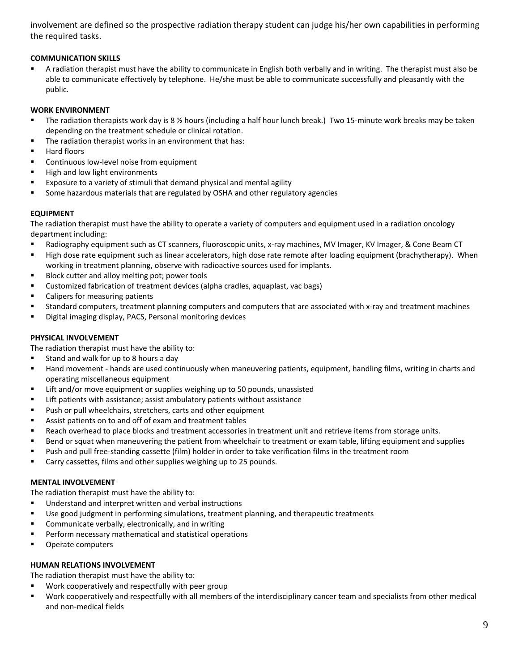involvement are defined so the prospective radiation therapy student can judge his/her own capabilities in performing the required tasks.

### **COMMUNICATION SKILLS**

■ A radiation therapist must have the ability to communicate in English both verbally and in writing. The therapist must also be able to communicate effectively by telephone. He/she must be able to communicate successfully and pleasantly with the public.

#### **WORK ENVIRONMENT**

- The radiation therapists work day is 8 ½ hours (including a half hour lunch break.) Two 15-minute work breaks may be taken depending on the treatment schedule or clinical rotation.
- The radiation therapist works in an environment that has:
- Hard floors
- Continuous low-level noise from equipment
- High and low light environments
- Exposure to a variety of stimuli that demand physical and mental agility
- **EXED** Some hazardous materials that are regulated by OSHA and other regulatory agencies

#### **EQUIPMENT**

The radiation therapist must have the ability to operate a variety of computers and equipment used in a radiation oncology department including:

- Radiography equipment such as CT scanners, fluoroscopic units, x-ray machines, MV Imager, KV Imager, & Cone Beam CT
- High dose rate equipment such as linear accelerators, high dose rate remote after loading equipment (brachytherapy). When working in treatment planning, observe with radioactive sources used for implants.
- Block cutter and alloy melting pot; power tools
- Customized fabrication of treatment devices (alpha cradles, aquaplast, vac bags)
- Calipers for measuring patients
- Standard computers, treatment planning computers and computers that are associated with x-ray and treatment machines
- Digital imaging display, PACS, Personal monitoring devices

### **PHYSICAL INVOLVEMENT**

The radiation therapist must have the ability to:

- Stand and walk for up to 8 hours a day
- Hand movement hands are used continuously when maneuvering patients, equipment, handling films, writing in charts and operating miscellaneous equipment
- **E** Lift and/or move equipment or supplies weighing up to 50 pounds, unassisted
- Lift patients with assistance; assist ambulatory patients without assistance
- Push or pull wheelchairs, stretchers, carts and other equipment
- Assist patients on to and off of exam and treatment tables
- Reach overhead to place blocks and treatment accessories in treatment unit and retrieve items from storage units.
- Bend or squat when maneuvering the patient from wheelchair to treatment or exam table, lifting equipment and supplies
- Push and pull free-standing cassette (film) holder in order to take verification films in the treatment room
- Carry cassettes, films and other supplies weighing up to 25 pounds.

#### **MENTAL INVOLVEMENT**

The radiation therapist must have the ability to:

- Understand and interpret written and verbal instructions
- Use good judgment in performing simulations, treatment planning, and therapeutic treatments
- Communicate verbally, electronically, and in writing
- Perform necessary mathematical and statistical operations
- Operate computers

#### **HUMAN RELATIONS INVOLVEMENT**

The radiation therapist must have the ability to:

- Work cooperatively and respectfully with peer group
- Work cooperatively and respectfully with all members of the interdisciplinary cancer team and specialists from other medical and non-medical fields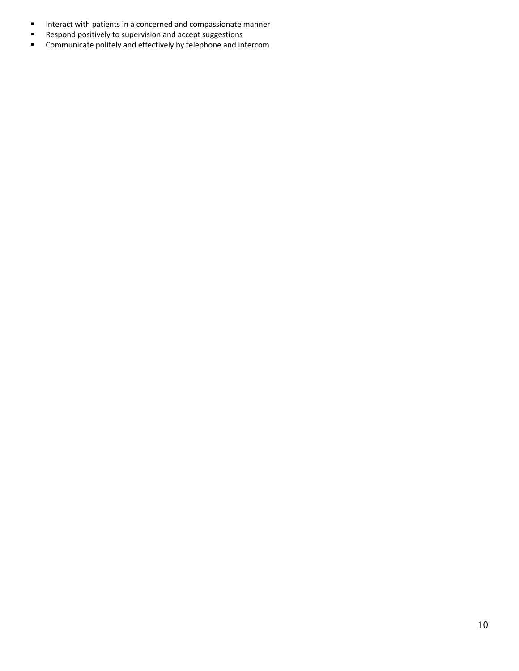- Interact with patients in a concerned and compassionate manner
- Respond positively to supervision and accept suggestions
- Communicate politely and effectively by telephone and intercom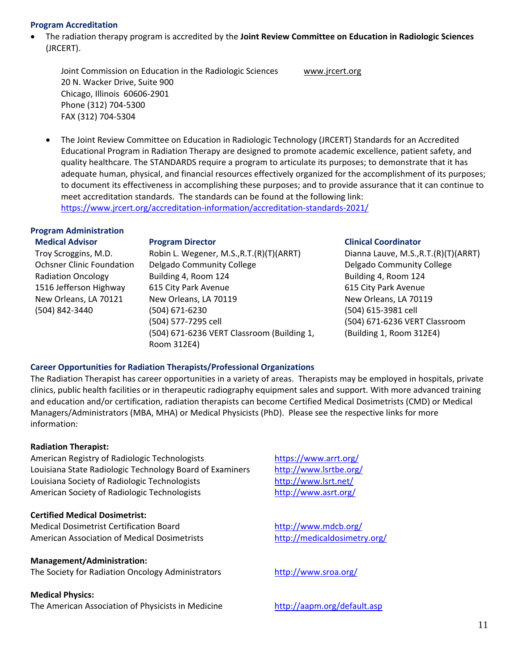#### **Program Accreditation**

• The radiation therapy program is accredited by the **Joint Review Committee on Education in Radiologic Sciences** (JRCERT).

Joint Commission on Education in the Radiologic Sciences [www.jrcert.org](http://www.jrcert.org/) 20 N. Wacker Drive, Suite 900 Chicago, Illinois 60606-2901 Phone (312) 704-5300 FAX (312) 704-5304

• The Joint Review Committee on Education in Radiologic Technology (JRCERT) Standards for an Accredited Educational Program in Radiation Therapy are designed to promote academic excellence, patient safety, and quality healthcare. The STANDARDS require a program to articulate its purposes; to demonstrate that it has adequate human, physical, and financial resources effectively organized for the accomplishment of its purposes; to document its effectiveness in accomplishing these purposes; and to provide assurance that it can continue to meet accreditation standards. The standards can be found at the following link: <https://www.jrcert.org/accreditation-information/accreditation-standards-2021/>

#### **Program Administration Medical Advisor**

**Program Director**

Troy Scroggins, M.D. Ochsner Clinic Foundation Radiation Oncology 1516 Jefferson Highway New Orleans, LA 70121 (504) 842-3440

Robin L. Wegener, M.S.,R.T.(R)(T)(ARRT) Delgado Community College Building 4, Room 124 615 City Park Avenue New Orleans, LA 70119 (504) 671-6230 (504) 577-7295 cell (504) 671-6236 VERT Classroom (Building 1, Room 312E4)

#### **Clinical Coordinator**

Dianna Lauve, M.S.,R.T.(R)(T)(ARRT) Delgado Community College Building 4, Room 124 615 City Park Avenue New Orleans, LA 70119 (504) 615-3981 cell (504) 671-6236 VERT Classroom (Building 1, Room 312E4)

### **Career Opportunities for Radiation Therapists/Professional Organizations**

The Radiation Therapist has career opportunities in a variety of areas. Therapists may be employed in hospitals, private clinics, public health facilities or in therapeutic radiography equipment sales and support. With more advanced training and education and/or certification, radiation therapists can become Certified Medical Dosimetrists (CMD) or Medical Managers/Administrators (MBA, MHA) or Medical Physicists (PhD). Please see the respective links for more information:

### **Radiation Therapist:**

American Registry of Radiologic Technologists <https://www.arrt.org/> Louisiana State Radiologic Technology Board of Examiners <http://www.lsrtbe.org/> Louisiana Society of Radiologic Technologists <http://www.lsrt.net/> American Society of Radiologic Technologists <http://www.asrt.org/>

#### **Certified Medical Dosimetrist:**

Medical Dosimetrist Certification Board <http://www.mdcb.org/> American Association of Medical Dosimetrists <http://medicaldosimetry.org/>

### **Management/Administration:**

The Society for Radiation Oncology Administrators <http://www.sroa.org/>

#### **Medical Physics:**

The American Association of Physicists in Medicine <http://aapm.org/default.asp>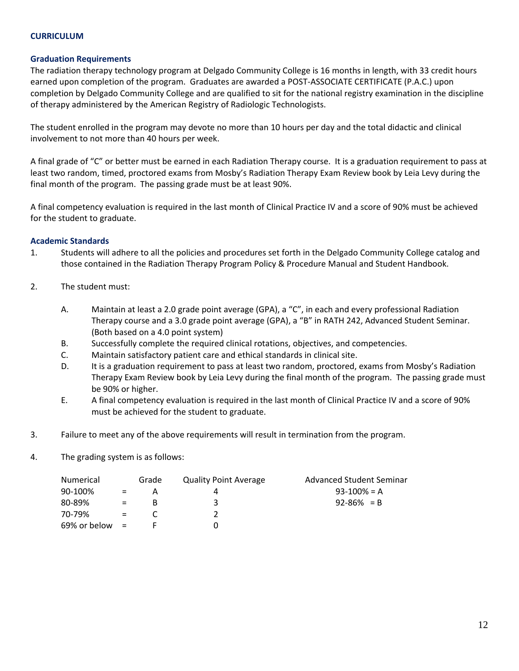### **CURRICULUM**

#### **Graduation Requirements**

The radiation therapy technology program at Delgado Community College is 16 months in length, with 33 credit hours earned upon completion of the program. Graduates are awarded a POST-ASSOCIATE CERTIFICATE (P.A.C.) upon completion by Delgado Community College and are qualified to sit for the national registry examination in the discipline of therapy administered by the American Registry of Radiologic Technologists.

The student enrolled in the program may devote no more than 10 hours per day and the total didactic and clinical involvement to not more than 40 hours per week.

A final grade of "C" or better must be earned in each Radiation Therapy course. It is a graduation requirement to pass at least two random, timed, proctored exams from Mosby's Radiation Therapy Exam Review book by Leia Levy during the final month of the program. The passing grade must be at least 90%.

A final competency evaluation is required in the last month of Clinical Practice IV and a score of 90% must be achieved for the student to graduate.

#### **Academic Standards**

- 1. Students will adhere to all the policies and procedures set forth in the Delgado Community College catalog and those contained in the Radiation Therapy Program Policy & Procedure Manual and Student Handbook.
- 2. The student must:
	- A. Maintain at least a 2.0 grade point average (GPA), a "C", in each and every professional Radiation Therapy course and a 3.0 grade point average (GPA), a "B" in RATH 242, Advanced Student Seminar. (Both based on a 4.0 point system)
	- B. Successfully complete the required clinical rotations, objectives, and competencies.
	- C. Maintain satisfactory patient care and ethical standards in clinical site.
	- D. It is a graduation requirement to pass at least two random, proctored, exams from Mosby's Radiation Therapy Exam Review book by Leia Levy during the final month of the program. The passing grade must be 90% or higher.
	- E. A final competency evaluation is required in the last month of Clinical Practice IV and a score of 90% must be achieved for the student to graduate.
- 3. Failure to meet any of the above requirements will result in termination from the program.
- 4. The grading system is as follows:

| <b>Numerical</b>  |     | Grade | <b>Quality Point Average</b> | Advanced Student Seminar |
|-------------------|-----|-------|------------------------------|--------------------------|
| 90-100%           | $=$ | А     |                              | $93-100% = A$            |
| 80-89%            |     | в     | З                            | $92 - 86\% = B$          |
| 70-79%            |     |       |                              |                          |
| $69\%$ or below = |     |       |                              |                          |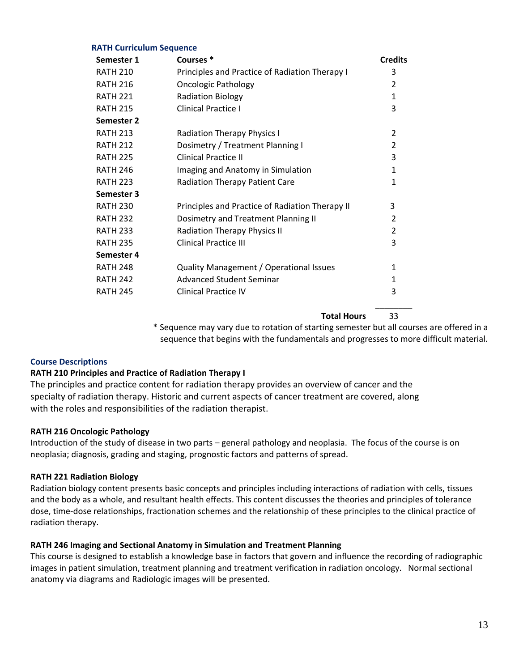#### **RATH Curriculum Sequence**

| Semester 1      | Courses <sup>*</sup>                            | <b>Credits</b> |
|-----------------|-------------------------------------------------|----------------|
| <b>RATH 210</b> | Principles and Practice of Radiation Therapy I  | 3              |
| <b>RATH 216</b> | <b>Oncologic Pathology</b>                      | $\overline{2}$ |
| <b>RATH 221</b> | <b>Radiation Biology</b>                        | $\mathbf{1}$   |
| <b>RATH 215</b> | <b>Clinical Practice I</b>                      | 3              |
| Semester 2      |                                                 |                |
| <b>RATH 213</b> | <b>Radiation Therapy Physics I</b>              | $\overline{2}$ |
| <b>RATH 212</b> | Dosimetry / Treatment Planning I                | $\overline{2}$ |
| <b>RATH 225</b> | <b>Clinical Practice II</b>                     | 3              |
| <b>RATH 246</b> | Imaging and Anatomy in Simulation               | 1              |
| <b>RATH 223</b> | <b>Radiation Therapy Patient Care</b>           | 1              |
| Semester 3      |                                                 |                |
| <b>RATH 230</b> | Principles and Practice of Radiation Therapy II | 3              |
| <b>RATH 232</b> | Dosimetry and Treatment Planning II             | $\overline{2}$ |
| <b>RATH 233</b> | <b>Radiation Therapy Physics II</b>             | $\overline{2}$ |
| <b>RATH 235</b> | <b>Clinical Practice III</b>                    | 3              |
| Semester 4      |                                                 |                |
| <b>RATH 248</b> | Quality Management / Operational Issues         | 1              |
| <b>RATH 242</b> | <b>Advanced Student Seminar</b>                 | 1              |
| <b>RATH 245</b> | <b>Clinical Practice IV</b>                     | 3              |
|                 |                                                 |                |

**Total Hours** 33

\* Sequence may vary due to rotation of starting semester but all courses are offered in a sequence that begins with the fundamentals and progresses to more difficult material.

### **Course Descriptions**

### **RATH 210 Principles and Practice of Radiation Therapy I**

The principles and practice content for radiation therapy provides an overview of cancer and the specialty of radiation therapy. Historic and current aspects of cancer treatment are covered, along with the roles and responsibilities of the radiation therapist.

### **RATH 216 Oncologic Pathology**

Introduction of the study of disease in two parts – general pathology and neoplasia. The focus of the course is on neoplasia; diagnosis, grading and staging, prognostic factors and patterns of spread.

### **RATH 221 Radiation Biology**

Radiation biology content presents basic concepts and principles including interactions of radiation with cells, tissues and the body as a whole, and resultant health effects. This content discusses the theories and principles of tolerance dose, time-dose relationships, fractionation schemes and the relationship of these principles to the clinical practice of radiation therapy.

### **RATH 246 Imaging and Sectional Anatomy in Simulation and Treatment Planning**

This course is designed to establish a knowledge base in factors that govern and influence the recording of radiographic images in patient simulation, treatment planning and treatment verification in radiation oncology. Normal sectional anatomy via diagrams and Radiologic images will be presented.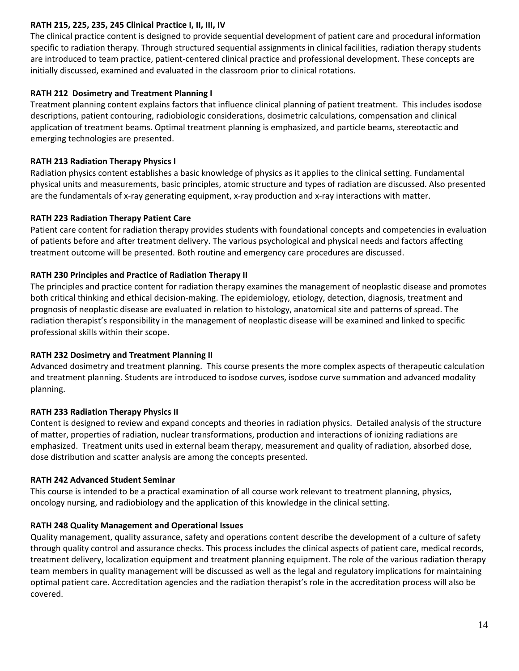### **RATH 215, 225, 235, 245 Clinical Practice I, II, III, IV**

The clinical practice content is designed to provide sequential development of patient care and procedural information specific to radiation therapy. Through structured sequential assignments in clinical facilities, radiation therapy students are introduced to team practice, patient-centered clinical practice and professional development. These concepts are initially discussed, examined and evaluated in the classroom prior to clinical rotations.

### **RATH 212 Dosimetry and Treatment Planning I**

Treatment planning content explains factors that influence clinical planning of patient treatment. This includes isodose descriptions, patient contouring, radiobiologic considerations, dosimetric calculations, compensation and clinical application of treatment beams. Optimal treatment planning is emphasized, and particle beams, stereotactic and emerging technologies are presented.

### **RATH 213 Radiation Therapy Physics I**

Radiation physics content establishes a basic knowledge of physics as it applies to the clinical setting. Fundamental physical units and measurements, basic principles, atomic structure and types of radiation are discussed. Also presented are the fundamentals of x-ray generating equipment, x-ray production and x-ray interactions with matter.

### **RATH 223 Radiation Therapy Patient Care**

Patient care content for radiation therapy provides students with foundational concepts and competencies in evaluation of patients before and after treatment delivery. The various psychological and physical needs and factors affecting treatment outcome will be presented. Both routine and emergency care procedures are discussed.

### **RATH 230 Principles and Practice of Radiation Therapy II**

The principles and practice content for radiation therapy examines the management of neoplastic disease and promotes both critical thinking and ethical decision-making. The epidemiology, etiology, detection, diagnosis, treatment and prognosis of neoplastic disease are evaluated in relation to histology, anatomical site and patterns of spread. The radiation therapist's responsibility in the management of neoplastic disease will be examined and linked to specific professional skills within their scope.

### **RATH 232 Dosimetry and Treatment Planning II**

Advanced dosimetry and treatment planning. This course presents the more complex aspects of therapeutic calculation and treatment planning. Students are introduced to isodose curves, isodose curve summation and advanced modality planning.

### **RATH 233 Radiation Therapy Physics II**

Content is designed to review and expand concepts and theories in radiation physics. Detailed analysis of the structure of matter, properties of radiation, nuclear transformations, production and interactions of ionizing radiations are emphasized. Treatment units used in external beam therapy, measurement and quality of radiation, absorbed dose, dose distribution and scatter analysis are among the concepts presented.

### **RATH 242 Advanced Student Seminar**

This course is intended to be a practical examination of all course work relevant to treatment planning, physics, oncology nursing, and radiobiology and the application of this knowledge in the clinical setting.

### **RATH 248 Quality Management and Operational Issues**

Quality management, quality assurance, safety and operations content describe the development of a culture of safety through quality control and assurance checks. This process includes the clinical aspects of patient care, medical records, treatment delivery, localization equipment and treatment planning equipment. The role of the various radiation therapy team members in quality management will be discussed as well as the legal and regulatory implications for maintaining optimal patient care. Accreditation agencies and the radiation therapist's role in the accreditation process will also be covered.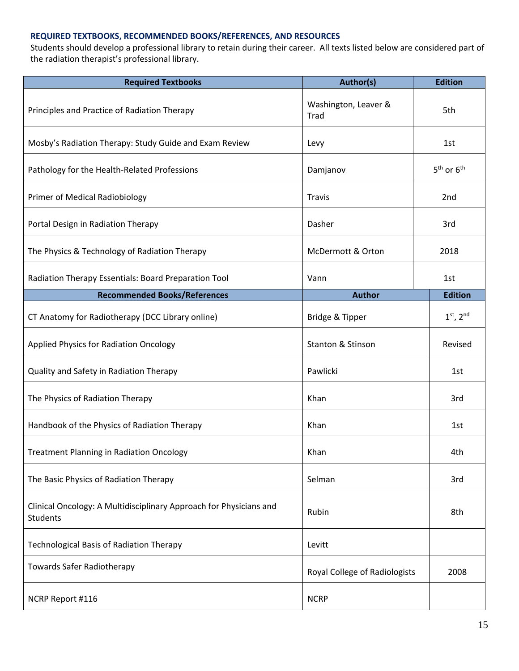### **REQUIRED TEXTBOOKS, RECOMMENDED BOOKS/REFERENCES, AND RESOURCES**

Students should develop a professional library to retain during their career. All texts listed below are considered part of the radiation therapist's professional library.

| <b>Required Textbooks</b>                                                             | Author(s)                     | <b>Edition</b> |
|---------------------------------------------------------------------------------------|-------------------------------|----------------|
| Principles and Practice of Radiation Therapy                                          | Washington, Leaver &<br>Trad  | 5th            |
| Mosby's Radiation Therapy: Study Guide and Exam Review                                | Levy                          | 1st            |
| Pathology for the Health-Related Professions                                          | Damjanov                      | $5th$ or $6th$ |
| Primer of Medical Radiobiology                                                        | <b>Travis</b>                 | 2nd            |
| Portal Design in Radiation Therapy                                                    | Dasher                        | 3rd            |
| The Physics & Technology of Radiation Therapy                                         | McDermott & Orton             | 2018           |
| Radiation Therapy Essentials: Board Preparation Tool                                  | Vann                          | 1st            |
| <b>Recommended Books/References</b>                                                   | <b>Author</b>                 | <b>Edition</b> |
| CT Anatomy for Radiotherapy (DCC Library online)                                      | Bridge & Tipper               | $1st$ , $2nd$  |
| <b>Applied Physics for Radiation Oncology</b>                                         | Stanton & Stinson             | Revised        |
| Quality and Safety in Radiation Therapy                                               | Pawlicki                      | 1st            |
| The Physics of Radiation Therapy                                                      | Khan                          | 3rd            |
| Handbook of the Physics of Radiation Therapy                                          | Khan                          | 1st            |
| <b>Treatment Planning in Radiation Oncology</b>                                       | Khan                          | 4th            |
| The Basic Physics of Radiation Therapy                                                | Selman                        | 3rd            |
| Clinical Oncology: A Multidisciplinary Approach for Physicians and<br><b>Students</b> | Rubin                         | 8th            |
| <b>Technological Basis of Radiation Therapy</b>                                       | Levitt                        |                |
| <b>Towards Safer Radiotherapy</b>                                                     | Royal College of Radiologists | 2008           |
| NCRP Report #116                                                                      | <b>NCRP</b>                   |                |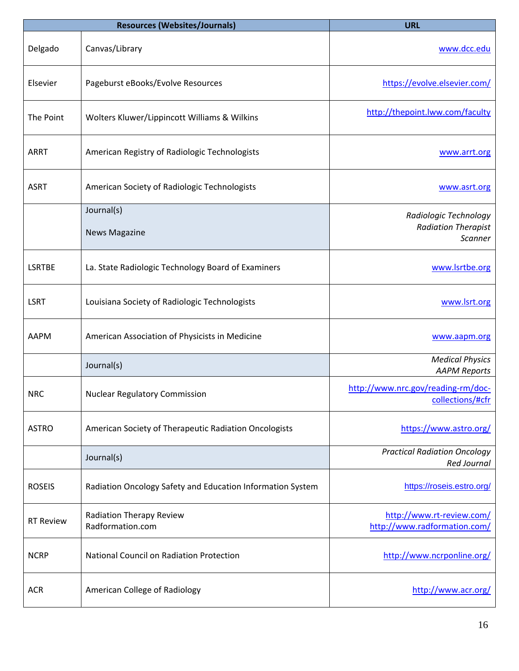| <b>Resources (Websites/Journals)</b> |                                                            | <b>URL</b>                                                |
|--------------------------------------|------------------------------------------------------------|-----------------------------------------------------------|
| Delgado                              | Canvas/Library                                             | www.dcc.edu                                               |
| Elsevier                             | Pageburst eBooks/Evolve Resources                          | https://evolve.elsevier.com/                              |
| The Point                            | Wolters Kluwer/Lippincott Williams & Wilkins               | http://thepoint.lww.com/faculty                           |
| <b>ARRT</b>                          | American Registry of Radiologic Technologists              | www.arrt.org                                              |
| <b>ASRT</b>                          | American Society of Radiologic Technologists               | www.asrt.org                                              |
|                                      | Journal(s)                                                 | Radiologic Technology                                     |
|                                      | <b>News Magazine</b>                                       | <b>Radiation Therapist</b>                                |
|                                      |                                                            | Scanner                                                   |
| <b>LSRTBE</b>                        | La. State Radiologic Technology Board of Examiners         | www.lsrtbe.org                                            |
| <b>LSRT</b>                          | Louisiana Society of Radiologic Technologists              | www.lsrt.org                                              |
| <b>AAPM</b>                          | American Association of Physicists in Medicine             | www.aapm.org                                              |
|                                      | Journal(s)                                                 | <b>Medical Physics</b><br><b>AAPM Reports</b>             |
| <b>NRC</b>                           | <b>Nuclear Regulatory Commission</b>                       | http://www.nrc.gov/reading-rm/doc-<br>collections/#cfr    |
| <b>ASTRO</b>                         | American Society of Therapeutic Radiation Oncologists      | https://www.astro.org/                                    |
|                                      | Journal(s)                                                 | <b>Practical Radiation Oncology</b><br><b>Red Journal</b> |
| <b>ROSEIS</b>                        | Radiation Oncology Safety and Education Information System | https://roseis.estro.org/                                 |
| <b>RT Review</b>                     | <b>Radiation Therapy Review</b><br>Radformation.com        | http://www.rt-review.com/<br>http://www.radformation.com/ |
| <b>NCRP</b>                          | National Council on Radiation Protection                   | http://www.ncrponline.org/                                |
| <b>ACR</b>                           | American College of Radiology                              | http://www.acr.org/                                       |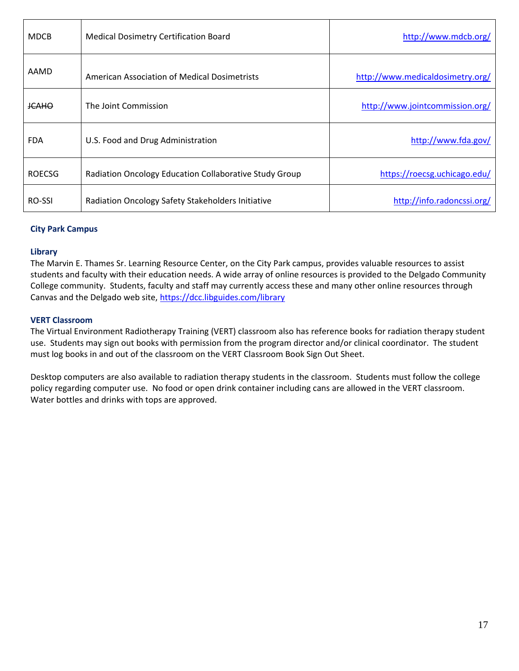| <b>MDCB</b>   | <b>Medical Dosimetry Certification Board</b>           | http://www.mdcb.org/             |
|---------------|--------------------------------------------------------|----------------------------------|
| AAMD          | American Association of Medical Dosimetrists           | http://www.medicaldosimetry.org/ |
| <b>JCAHO</b>  | The Joint Commission                                   | http://www.jointcommission.org/  |
| <b>FDA</b>    | U.S. Food and Drug Administration                      | http://www.fda.gov/              |
| <b>ROECSG</b> | Radiation Oncology Education Collaborative Study Group | https://roecsg.uchicago.edu/     |
| <b>RO-SSI</b> | Radiation Oncology Safety Stakeholders Initiative      | http://info.radoncssi.org/       |

### **City Park Campus**

#### **Library**

The Marvin E. Thames Sr. Learning Resource Center, on the City Park campus, provides valuable resources to assist students and faculty with their education needs. A wide array of online resources is provided to the Delgado Community College community. Students, faculty and staff may currently access these and many other online resources through Canvas and the Delgado web site,<https://dcc.libguides.com/library>

#### **VERT Classroom**

The Virtual Environment Radiotherapy Training (VERT) classroom also has reference books for radiation therapy student use. Students may sign out books with permission from the program director and/or clinical coordinator. The student must log books in and out of the classroom on the VERT Classroom Book Sign Out Sheet.

Desktop computers are also available to radiation therapy students in the classroom. Students must follow the college policy regarding computer use. No food or open drink container including cans are allowed in the VERT classroom. Water bottles and drinks with tops are approved.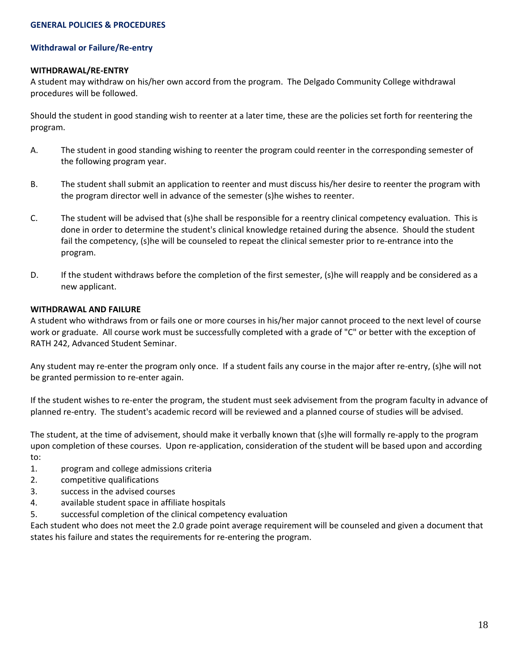#### **Withdrawal or Failure/Re-entry**

#### **WITHDRAWAL/RE-ENTRY**

A student may withdraw on his/her own accord from the program. The Delgado Community College withdrawal procedures will be followed.

Should the student in good standing wish to reenter at a later time, these are the policies set forth for reentering the program.

- A. The student in good standing wishing to reenter the program could reenter in the corresponding semester of the following program year.
- B. The student shall submit an application to reenter and must discuss his/her desire to reenter the program with the program director well in advance of the semester (s)he wishes to reenter.
- C. The student will be advised that (s)he shall be responsible for a reentry clinical competency evaluation. This is done in order to determine the student's clinical knowledge retained during the absence. Should the student fail the competency, (s)he will be counseled to repeat the clinical semester prior to re-entrance into the program.
- D. If the student withdraws before the completion of the first semester, (s)he will reapply and be considered as a new applicant.

### **WITHDRAWAL AND FAILURE**

A student who withdraws from or fails one or more courses in his/her major cannot proceed to the next level of course work or graduate. All course work must be successfully completed with a grade of "C" or better with the exception of RATH 242, Advanced Student Seminar.

Any student may re-enter the program only once. If a student fails any course in the major after re-entry, (s)he will not be granted permission to re-enter again.

If the student wishes to re-enter the program, the student must seek advisement from the program faculty in advance of planned re-entry. The student's academic record will be reviewed and a planned course of studies will be advised.

The student, at the time of advisement, should make it verbally known that (s)he will formally re-apply to the program upon completion of these courses. Upon re-application, consideration of the student will be based upon and according to:

- 1. program and college admissions criteria
- 2. competitive qualifications
- 3. success in the advised courses
- 4. available student space in affiliate hospitals
- 5. successful completion of the clinical competency evaluation

Each student who does not meet the 2.0 grade point average requirement will be counseled and given a document that states his failure and states the requirements for re-entering the program.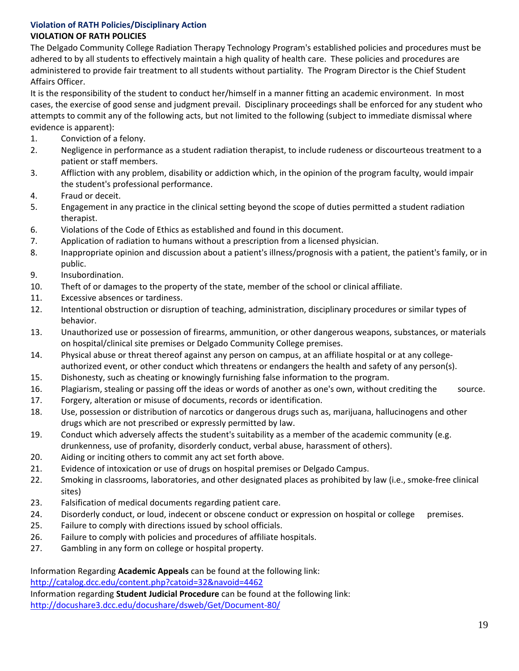### **Violation of RATH Policies/Disciplinary Action VIOLATION OF RATH POLICIES**

The Delgado Community College Radiation Therapy Technology Program's established policies and procedures must be adhered to by all students to effectively maintain a high quality of health care. These policies and procedures are administered to provide fair treatment to all students without partiality. The Program Director is the Chief Student Affairs Officer.

It is the responsibility of the student to conduct her/himself in a manner fitting an academic environment. In most cases, the exercise of good sense and judgment prevail. Disciplinary proceedings shall be enforced for any student who attempts to commit any of the following acts, but not limited to the following (subject to immediate dismissal where evidence is apparent):

- 1. Conviction of a felony.
- 2. Negligence in performance as a student radiation therapist, to include rudeness or discourteous treatment to a patient or staff members.
- 3. Affliction with any problem, disability or addiction which, in the opinion of the program faculty, would impair the student's professional performance.
- 4. Fraud or deceit.
- 5. Engagement in any practice in the clinical setting beyond the scope of duties permitted a student radiation therapist.
- 6. Violations of the Code of Ethics as established and found in this document.
- 7. Application of radiation to humans without a prescription from a licensed physician.
- 8. Inappropriate opinion and discussion about a patient's illness/prognosis with a patient, the patient's family, or in public.
- 9. Insubordination.
- 10. Theft of or damages to the property of the state, member of the school or clinical affiliate.
- 11. Excessive absences or tardiness.
- 12. Intentional obstruction or disruption of teaching, administration, disciplinary procedures or similar types of behavior.
- 13. Unauthorized use or possession of firearms, ammunition, or other dangerous weapons, substances, or materials on hospital/clinical site premises or Delgado Community College premises.
- 14. Physical abuse or threat thereof against any person on campus, at an affiliate hospital or at any collegeauthorized event, or other conduct which threatens or endangers the health and safety of any person(s).
- 15. Dishonesty, such as cheating or knowingly furnishing false information to the program.
- 16. Plagiarism, stealing or passing off the ideas or words of another as one's own, without crediting the source.
- 17. Forgery, alteration or misuse of documents, records or identification.
- 18. Use, possession or distribution of narcotics or dangerous drugs such as, marijuana, hallucinogens and other drugs which are not prescribed or expressly permitted by law.
- 19. Conduct which adversely affects the student's suitability as a member of the academic community (e.g. drunkenness, use of profanity, disorderly conduct, verbal abuse, harassment of others).
- 20. Aiding or inciting others to commit any act set forth above.
- 21. Evidence of intoxication or use of drugs on hospital premises or Delgado Campus.
- 22. Smoking in classrooms, laboratories, and other designated places as prohibited by law (i.e., smoke-free clinical sites)
- 23. Falsification of medical documents regarding patient care.
- 24. Disorderly conduct, or loud, indecent or obscene conduct or expression on hospital or college premises.
- 25. Failure to comply with directions issued by school officials.
- 26. Failure to comply with policies and procedures of affiliate hospitals.
- 27. Gambling in any form on college or hospital property.

Information Regarding **Academic Appeals** can be found at the following link:

<http://catalog.dcc.edu/content.php?catoid=32&navoid=4462>

Information regarding **Student Judicial Procedure** can be found at the following link:

<http://docushare3.dcc.edu/docushare/dsweb/Get/Document-80/>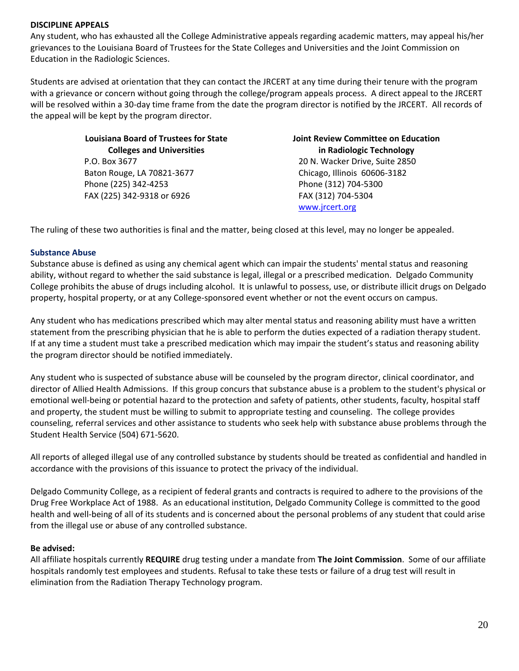### **DISCIPLINE APPEALS**

Any student, who has exhausted all the College Administrative appeals regarding academic matters, may appeal his/her grievances to the Louisiana Board of Trustees for the State Colleges and Universities and the Joint Commission on Education in the Radiologic Sciences.

Students are advised at orientation that they can contact the JRCERT at any time during their tenure with the program with a grievance or concern without going through the college/program appeals process. A direct appeal to the JRCERT will be resolved within a 30-day time frame from the date the program director is notified by the JRCERT. All records of the appeal will be kept by the program director.

> **Louisiana Board of Trustees for State Colleges and Universities** P.O. Box 3677 Baton Rouge, LA 70821-3677 Phone (225) 342-4253 FAX (225) 342-9318 or 6926

**Joint Review Committee on Education in Radiologic Technology** 20 N. Wacker Drive, Suite 2850 Chicago, Illinois 60606-3182 Phone (312) 704-5300 FAX (312) 704-5304 [www.jrcert.org](http://www.jrcert.org/)

The ruling of these two authorities is final and the matter, being closed at this level, may no longer be appealed.

#### **Substance Abuse**

Substance abuse is defined as using any chemical agent which can impair the students' mental status and reasoning ability, without regard to whether the said substance is legal, illegal or a prescribed medication. Delgado Community College prohibits the abuse of drugs including alcohol. It is unlawful to possess, use, or distribute illicit drugs on Delgado property, hospital property, or at any College-sponsored event whether or not the event occurs on campus.

Any student who has medications prescribed which may alter mental status and reasoning ability must have a written statement from the prescribing physician that he is able to perform the duties expected of a radiation therapy student. If at any time a student must take a prescribed medication which may impair the student's status and reasoning ability the program director should be notified immediately.

Any student who is suspected of substance abuse will be counseled by the program director, clinical coordinator, and director of Allied Health Admissions. If this group concurs that substance abuse is a problem to the student's physical or emotional well-being or potential hazard to the protection and safety of patients, other students, faculty, hospital staff and property, the student must be willing to submit to appropriate testing and counseling. The college provides counseling, referral services and other assistance to students who seek help with substance abuse problems through the Student Health Service (504) 671-5620.

All reports of alleged illegal use of any controlled substance by students should be treated as confidential and handled in accordance with the provisions of this issuance to protect the privacy of the individual.

Delgado Community College, as a recipient of federal grants and contracts is required to adhere to the provisions of the Drug Free Workplace Act of 1988. As an educational institution, Delgado Community College is committed to the good health and well-being of all of its students and is concerned about the personal problems of any student that could arise from the illegal use or abuse of any controlled substance.

#### **Be advised:**

All affiliate hospitals currently **REQUIRE** drug testing under a mandate from **The Joint Commission**. Some of our affiliate hospitals randomly test employees and students. Refusal to take these tests or failure of a drug test will result in elimination from the Radiation Therapy Technology program.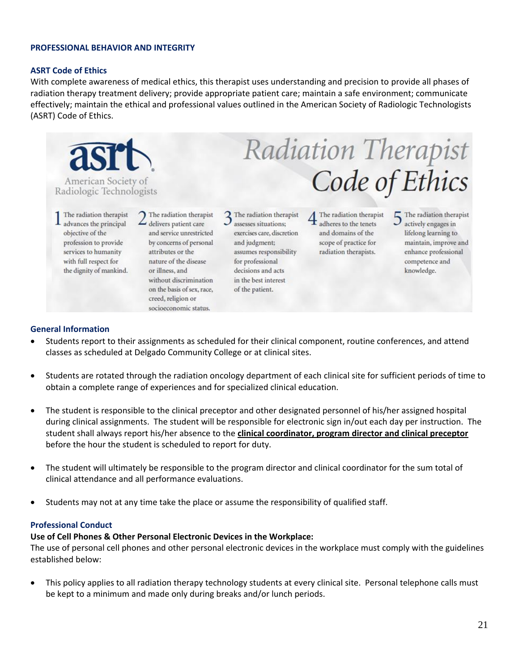#### **PROFESSIONAL BEHAVIOR AND INTEGRITY**

#### **ASRT Code of Ethics**

With complete awareness of medical ethics, this therapist uses understanding and precision to provide all phases of radiation therapy treatment delivery; provide appropriate patient care; maintain a safe environment; communicate effectively; maintain the ethical and professional values outlined in the American Society of Radiologic Technologists (ASRT) Code of Ethics.



#### **General Information**

- Students report to their assignments as scheduled for their clinical component, routine conferences, and attend classes as scheduled at Delgado Community College or at clinical sites.
- Students are rotated through the radiation oncology department of each clinical site for sufficient periods of time to obtain a complete range of experiences and for specialized clinical education.
- The student is responsible to the clinical preceptor and other designated personnel of his/her assigned hospital during clinical assignments. The student will be responsible for electronic sign in/out each day per instruction. The student shall always report his/her absence to the **clinical coordinator, program director and clinical preceptor**  before the hour the student is scheduled to report for duty.
- The student will ultimately be responsible to the program director and clinical coordinator for the sum total of clinical attendance and all performance evaluations.
- Students may not at any time take the place or assume the responsibility of qualified staff.

#### **Professional Conduct**

### **Use of Cell Phones & Other Personal Electronic Devices in the Workplace:**

The use of personal cell phones and other personal electronic devices in the workplace must comply with the guidelines established below:

• This policy applies to all radiation therapy technology students at every clinical site. Personal telephone calls must be kept to a minimum and made only during breaks and/or lunch periods.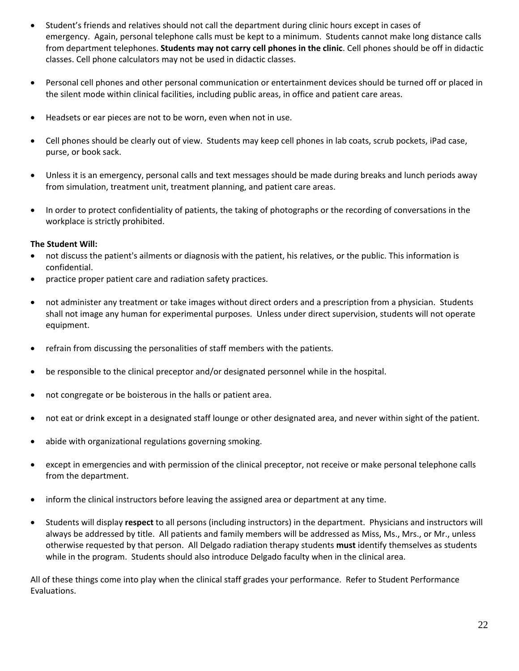- Student's friends and relatives should not call the department during clinic hours except in cases of emergency. Again, personal telephone calls must be kept to a minimum. Students cannot make long distance calls from department telephones. **Students may not carry cell phones in the clinic**. Cell phones should be off in didactic classes. Cell phone calculators may not be used in didactic classes.
- Personal cell phones and other personal communication or entertainment devices should be turned off or placed in the silent mode within clinical facilities, including public areas, in office and patient care areas.
- Headsets or ear pieces are not to be worn, even when not in use.
- Cell phones should be clearly out of view. Students may keep cell phones in lab coats, scrub pockets, iPad case, purse, or book sack.
- Unless it is an emergency, personal calls and text messages should be made during breaks and lunch periods away from simulation, treatment unit, treatment planning, and patient care areas.
- In order to protect confidentiality of patients, the taking of photographs or the recording of conversations in the workplace is strictly prohibited.

### **The Student Will:**

- not discuss the patient's ailments or diagnosis with the patient, his relatives, or the public. This information is confidential.
- practice proper patient care and radiation safety practices.
- not administer any treatment or take images without direct orders and a prescription from a physician. Students shall not image any human for experimental purposes. Unless under direct supervision, students will not operate equipment.
- refrain from discussing the personalities of staff members with the patients.
- be responsible to the clinical preceptor and/or designated personnel while in the hospital.
- not congregate or be boisterous in the halls or patient area.
- not eat or drink except in a designated staff lounge or other designated area, and never within sight of the patient.
- abide with organizational regulations governing smoking.
- except in emergencies and with permission of the clinical preceptor, not receive or make personal telephone calls from the department.
- inform the clinical instructors before leaving the assigned area or department at any time.
- Students will display **respect** to all persons (including instructors) in the department. Physicians and instructors will always be addressed by title. All patients and family members will be addressed as Miss, Ms., Mrs., or Mr., unless otherwise requested by that person. All Delgado radiation therapy students **must** identify themselves as students while in the program. Students should also introduce Delgado faculty when in the clinical area.

All of these things come into play when the clinical staff grades your performance. Refer to Student Performance Evaluations.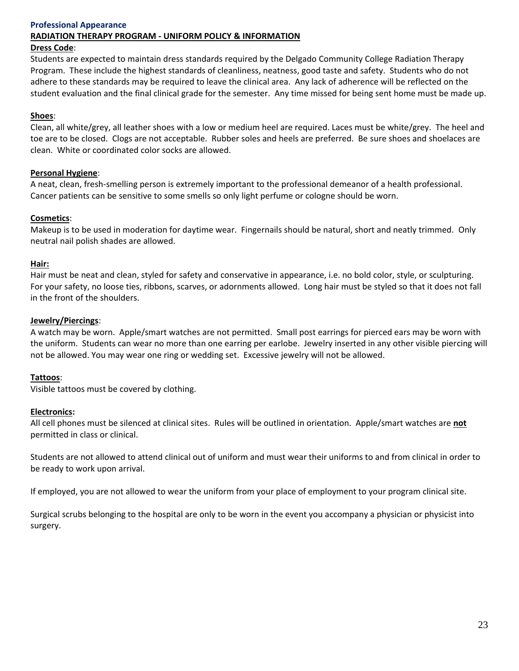### **Professional Appearance**

#### **RADIATION THERAPY PROGRAM - UNIFORM POLICY & INFORMATION**

#### **Dress Code**:

Students are expected to maintain dress standards required by the Delgado Community College Radiation Therapy Program. These include the highest standards of cleanliness, neatness, good taste and safety. Students who do not adhere to these standards may be required to leave the clinical area. Any lack of adherence will be reflected on the student evaluation and the final clinical grade for the semester. Any time missed for being sent home must be made up.

#### **Shoes**:

Clean, all white/grey, all leather shoes with a low or medium heel are required. Laces must be white/grey. The heel and toe are to be closed. Clogs are not acceptable. Rubber soles and heels are preferred. Be sure shoes and shoelaces are clean. White or coordinated color socks are allowed.

#### **Personal Hygiene**:

A neat, clean, fresh-smelling person is extremely important to the professional demeanor of a health professional. Cancer patients can be sensitive to some smells so only light perfume or cologne should be worn.

#### **Cosmetics**:

Makeup is to be used in moderation for daytime wear. Fingernails should be natural, short and neatly trimmed. Only neutral nail polish shades are allowed.

#### **Hair:**

Hair must be neat and clean, styled for safety and conservative in appearance, i.e. no bold color, style, or sculpturing. For your safety, no loose ties, ribbons, scarves, or adornments allowed. Long hair must be styled so that it does not fall in the front of the shoulders.

#### **Jewelry/Piercings**:

A watch may be worn. Apple/smart watches are not permitted. Small post earrings for pierced ears may be worn with the uniform. Students can wear no more than one earring per earlobe. Jewelry inserted in any other visible piercing will not be allowed. You may wear one ring or wedding set. Excessive jewelry will not be allowed.

#### **Tattoos**:

Visible tattoos must be covered by clothing.

#### **Electronics:**

All cell phones must be silenced at clinical sites. Rules will be outlined in orientation. Apple/smart watches are **not** permitted in class or clinical.

Students are not allowed to attend clinical out of uniform and must wear their uniforms to and from clinical in order to be ready to work upon arrival.

If employed, you are not allowed to wear the uniform from your place of employment to your program clinical site.

Surgical scrubs belonging to the hospital are only to be worn in the event you accompany a physician or physicist into surgery.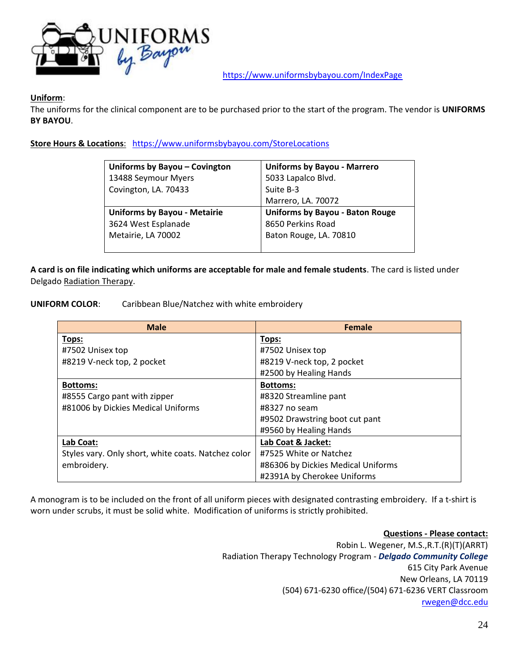

<https://www.uniformsbybayou.com/IndexPage>

### **Uniform**:

The uniforms for the clinical component are to be purchased prior to the start of the program. The vendor is **UNIFORMS BY BAYOU**.

**Store Hours & Locations**: <https://www.uniformsbybayou.com/StoreLocations>

| Uniforms by Bayou - Covington       | <b>Uniforms by Bayou - Marrero</b>     |
|-------------------------------------|----------------------------------------|
| 13488 Seymour Myers                 | 5033 Lapalco Blvd.                     |
| Covington, LA. 70433                | Suite B-3                              |
|                                     | Marrero, LA. 70072                     |
| <b>Uniforms by Bayou - Metairie</b> | <b>Uniforms by Bayou - Baton Rouge</b> |
| 3624 West Esplanade                 | 8650 Perkins Road                      |
| Metairie, LA 70002                  | Baton Rouge, LA. 70810                 |
|                                     |                                        |

**A card is on file indicating which uniforms are acceptable for male and female students**. The card is listed under Delgado Radiation Therapy.

**UNIFORM COLOR**: Caribbean Blue/Natchez with white embroidery

| <b>Male</b>                                         | <b>Female</b>                      |
|-----------------------------------------------------|------------------------------------|
| Tops:                                               | Tops:                              |
| #7502 Unisex top                                    | #7502 Unisex top                   |
| #8219 V-neck top, 2 pocket                          | #8219 V-neck top, 2 pocket         |
|                                                     | #2500 by Healing Hands             |
| <b>Bottoms:</b>                                     | <b>Bottoms:</b>                    |
| #8555 Cargo pant with zipper                        | #8320 Streamline pant              |
| #81006 by Dickies Medical Uniforms                  | #8327 no seam                      |
|                                                     | #9502 Drawstring boot cut pant     |
|                                                     | #9560 by Healing Hands             |
| Lab Coat:                                           | Lab Coat & Jacket:                 |
| Styles vary. Only short, white coats. Natchez color | #7525 White or Natchez             |
| embroidery.                                         | #86306 by Dickies Medical Uniforms |
|                                                     | #2391A by Cherokee Uniforms        |

A monogram is to be included on the front of all uniform pieces with designated contrasting embroidery. If a t-shirt is worn under scrubs, it must be solid white. Modification of uniforms is strictly prohibited.

> **Questions - Please contact:** Robin L. Wegener, M.S.,R.T.(R)(T)(ARRT) Radiation Therapy Technology Program - *Delgado Community College* 615 City Park Avenue New Orleans, LA 70119 (504) 671-6230 office/(504) 671-6236 VERT Classroom [rwegen@dcc.edu](mailto:rwegen@dcc.edu)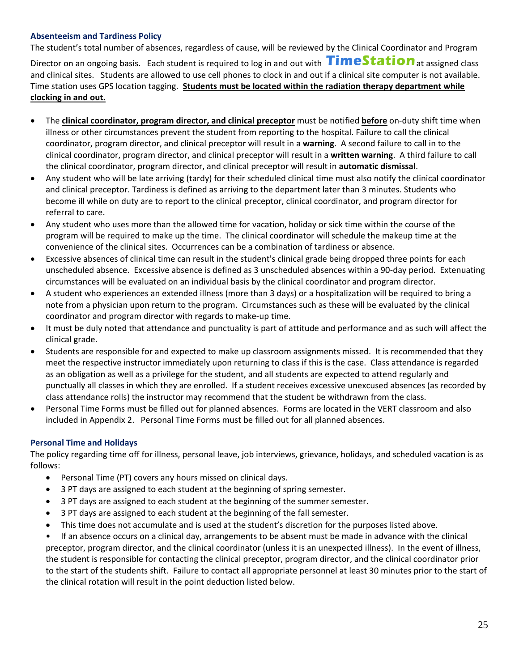### **Absenteeism and Tardiness Policy**

The student's total number of absences, regardless of cause, will be reviewed by the Clinical Coordinator and Program

Director on an ongoing basis. Each student is required to log in and out with  $\prod$ imeStation at assigned class and clinical sites. Students are allowed to use cell phones to clock in and out if a clinical site computer is not available. Time station uses GPS location tagging. **Students must be located within the radiation therapy department while clocking in and out.** 

- The **clinical coordinator, program director, and clinical preceptor** must be notified **before** on-duty shift time when illness or other circumstances prevent the student from reporting to the hospital. Failure to call the clinical coordinator, program director, and clinical preceptor will result in a **warning**. A second failure to call in to the clinical coordinator, program director, and clinical preceptor will result in a **written warning**. A third failure to call the clinical coordinator, program director, and clinical preceptor will result in **automatic dismissal**.
- Any student who will be late arriving (tardy) for their scheduled clinical time must also notify the clinical coordinator and clinical preceptor. Tardiness is defined as arriving to the department later than 3 minutes. Students who become ill while on duty are to report to the clinical preceptor, clinical coordinator, and program director for referral to care.
- Any student who uses more than the allowed time for vacation, holiday or sick time within the course of the program will be required to make up the time. The clinical coordinator will schedule the makeup time at the convenience of the clinical sites. Occurrences can be a combination of tardiness or absence.
- Excessive absences of clinical time can result in the student's clinical grade being dropped three points for each unscheduled absence. Excessive absence is defined as 3 unscheduled absences within a 90-day period. Extenuating circumstances will be evaluated on an individual basis by the clinical coordinator and program director.
- A student who experiences an extended illness (more than 3 days) or a hospitalization will be required to bring a note from a physician upon return to the program. Circumstances such as these will be evaluated by the clinical coordinator and program director with regards to make-up time.
- It must be duly noted that attendance and punctuality is part of attitude and performance and as such will affect the clinical grade.
- Students are responsible for and expected to make up classroom assignments missed. It is recommended that they meet the respective instructor immediately upon returning to class if this is the case. Class attendance is regarded as an obligation as well as a privilege for the student, and all students are expected to attend regularly and punctually all classes in which they are enrolled. If a student receives excessive unexcused absences (as recorded by class attendance rolls) the instructor may recommend that the student be withdrawn from the class.
- Personal Time Forms must be filled out for planned absences. Forms are located in the VERT classroom and also included in Appendix 2. Personal Time Forms must be filled out for all planned absences.

### **Personal Time and Holidays**

The policy regarding time off for illness, personal leave, job interviews, grievance, holidays, and scheduled vacation is as follows:

- Personal Time (PT) covers any hours missed on clinical days.
- 3 PT days are assigned to each student at the beginning of spring semester.
- 3 PT days are assigned to each student at the beginning of the summer semester.
- 3 PT days are assigned to each student at the beginning of the fall semester.
- This time does not accumulate and is used at the student's discretion for the purposes listed above.

• If an absence occurs on a clinical day, arrangements to be absent must be made in advance with the clinical preceptor, program director, and the clinical coordinator (unless it is an unexpected illness). In the event of illness, the student is responsible for contacting the clinical preceptor, program director, and the clinical coordinator prior to the start of the students shift. Failure to contact all appropriate personnel at least 30 minutes prior to the start of the clinical rotation will result in the point deduction listed below.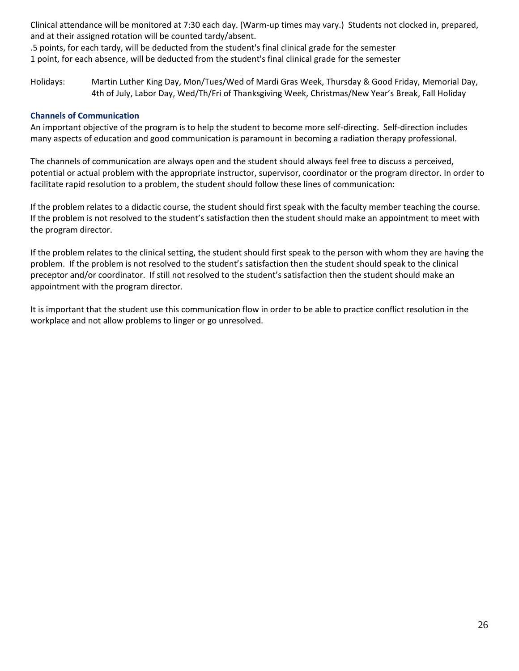Clinical attendance will be monitored at 7:30 each day. (Warm-up times may vary.) Students not clocked in, prepared, and at their assigned rotation will be counted tardy/absent.

.5 points, for each tardy, will be deducted from the student's final clinical grade for the semester 1 point, for each absence, will be deducted from the student's final clinical grade for the semester

Holidays: Martin Luther King Day, Mon/Tues/Wed of Mardi Gras Week, Thursday & Good Friday, Memorial Day, 4th of July, Labor Day, Wed/Th/Fri of Thanksgiving Week, Christmas/New Year's Break, Fall Holiday

### **Channels of Communication**

An important objective of the program is to help the student to become more self-directing. Self-direction includes many aspects of education and good communication is paramount in becoming a radiation therapy professional.

The channels of communication are always open and the student should always feel free to discuss a perceived, potential or actual problem with the appropriate instructor, supervisor, coordinator or the program director. In order to facilitate rapid resolution to a problem, the student should follow these lines of communication:

If the problem relates to a didactic course, the student should first speak with the faculty member teaching the course. If the problem is not resolved to the student's satisfaction then the student should make an appointment to meet with the program director.

If the problem relates to the clinical setting, the student should first speak to the person with whom they are having the problem. If the problem is not resolved to the student's satisfaction then the student should speak to the clinical preceptor and/or coordinator. If still not resolved to the student's satisfaction then the student should make an appointment with the program director.

It is important that the student use this communication flow in order to be able to practice conflict resolution in the workplace and not allow problems to linger or go unresolved.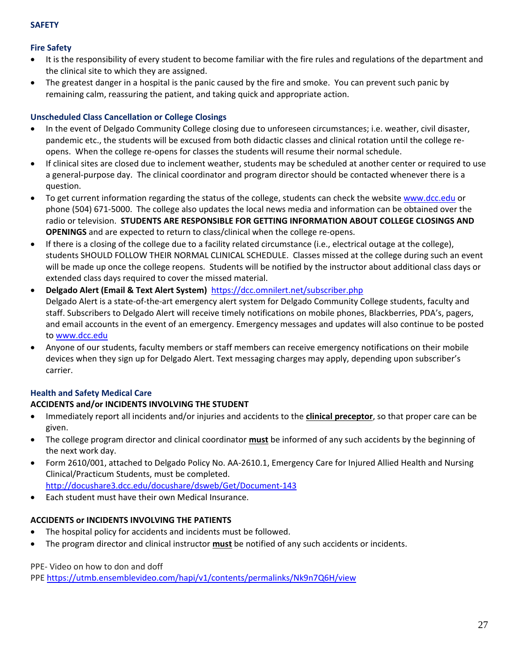### **SAFETY**

### **Fire Safety**

- It is the responsibility of every student to become familiar with the fire rules and regulations of the department and the clinical site to which they are assigned.
- The greatest danger in a hospital is the panic caused by the fire and smoke. You can prevent such panic by remaining calm, reassuring the patient, and taking quick and appropriate action.

### **Unscheduled Class Cancellation or College Closings**

- In the event of Delgado Community College closing due to unforeseen circumstances; i.e. weather, civil disaster, pandemic etc., the students will be excused from both didactic classes and clinical rotation until the college reopens. When the college re-opens for classes the students will resume their normal schedule.
- If clinical sites are closed due to inclement weather, students may be scheduled at another center or required to use a general-purpose day. The clinical coordinator and program director should be contacted whenever there is a question.
- To get current information regarding the status of the college, students can check the website [www.dcc.edu](http://www.dcc.edu/) or phone (504) 671-5000. The college also updates the local news media and information can be obtained over the radio or television. **STUDENTS ARE RESPONSIBLE FOR GETTING INFORMATION ABOUT COLLEGE CLOSINGS AND OPENINGS** and are expected to return to class/clinical when the college re-opens.
- If there is a closing of the college due to a facility related circumstance (i.e., electrical outage at the college), students SHOULD FOLLOW THEIR NORMAL CLINICAL SCHEDULE. Classes missed at the college during such an event will be made up once the college reopens. Students will be notified by the instructor about additional class days or extended class days required to cover the missed material.
- **Delgado Alert (Email & Text Alert System)** <https://dcc.omnilert.net/subscriber.php> Delgado Alert is a state-of-the-art emergency alert system for Delgado Community College students, faculty and staff. Subscribers to Delgado Alert will receive timely notifications on mobile phones, Blackberries, PDA's, pagers, and email accounts in the event of an emergency. Emergency messages and updates will also continue to be posted to [www.dcc.edu](http://www.dcc.edu/)
- Anyone of our students, faculty members or staff members can receive emergency notifications on their mobile devices when they sign up for Delgado Alert. Text messaging charges may apply, depending upon subscriber's carrier.

### **Health and Safety Medical Care**

### **ACCIDENTS and/or INCIDENTS INVOLVING THE STUDENT**

- Immediately report all incidents and/or injuries and accidents to the **clinical preceptor**, so that proper care can be given.
- The college program director and clinical coordinator **must** be informed of any such accidents by the beginning of the next work day.
- Form 2610/001, attached to Delgado Policy No. AA-2610.1, Emergency Care for Injured Allied Health and Nursing Clinical/Practicum Students, must be completed. <http://docushare3.dcc.edu/docushare/dsweb/Get/Document-143>
- Each student must have their own Medical Insurance.

### **ACCIDENTS or INCIDENTS INVOLVING THE PATIENTS**

- The hospital policy for accidents and incidents must be followed.
- The program director and clinical instructor **must** be notified of any such accidents or incidents.

### PPE- Video on how to don and doff

PPE <https://utmb.ensemblevideo.com/hapi/v1/contents/permalinks/Nk9n7Q6H/view>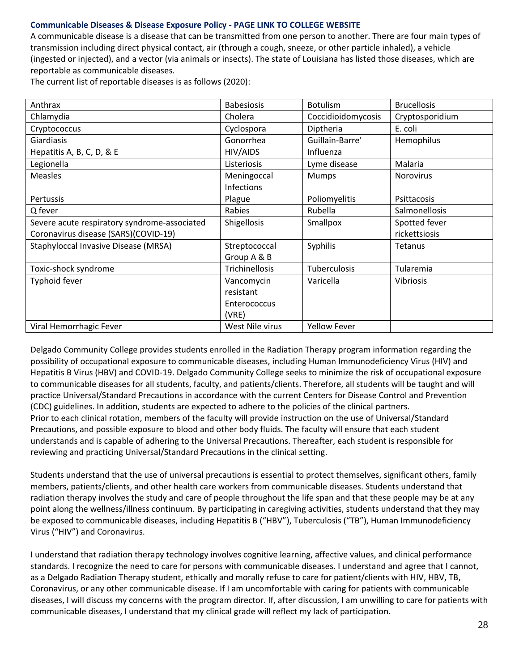### **Communicable Diseases & Disease Exposure Policy - PAGE LINK TO COLLEGE WEBSITE**

A communicable disease is a disease that can be transmitted from one person to another. There are four main types of transmission including direct physical contact, air (through a cough, sneeze, or other particle inhaled), a vehicle (ingested or injected), and a vector (via animals or insects). The state of Louisiana has listed those diseases, which are reportable as communicable diseases.

The current list of reportable diseases is as follows (2020):

| Anthrax                                      | <b>Babesiosis</b> | <b>Botulism</b>     | <b>Brucellosis</b>   |
|----------------------------------------------|-------------------|---------------------|----------------------|
| Chlamydia                                    | Cholera           | Coccidioidomycosis  | Cryptosporidium      |
| Cryptococcus                                 | Cyclospora        | Diptheria           | E. coli              |
| Giardiasis                                   | Gonorrhea         | Guillain-Barre'     | Hemophilus           |
| Hepatitis A, B, C, D, & E                    | HIV/AIDS          | Influenza           |                      |
| Legionella                                   | Listeriosis       | Lyme disease        | Malaria              |
| <b>Measles</b>                               | Meningoccal       | <b>Mumps</b>        | Norovirus            |
|                                              | Infections        |                     |                      |
| Pertussis                                    | Plague            | Poliomyelitis       | Psittacosis          |
| Q fever                                      | Rabies            | Rubella             | <b>Salmonellosis</b> |
| Severe acute respiratory syndrome-associated | Shigellosis       | Smallpox            | Spotted fever        |
| Coronavirus disease (SARS)(COVID-19)         |                   |                     | rickettsiosis        |
| Staphyloccal Invasive Disease (MRSA)         | Streptococcal     | Syphilis            | <b>Tetanus</b>       |
|                                              | Group A & B       |                     |                      |
| Toxic-shock syndrome                         | Trichinellosis    | Tuberculosis        | Tularemia            |
| Typhoid fever                                | Vancomycin        | Varicella           | <b>Vibriosis</b>     |
|                                              | resistant         |                     |                      |
|                                              | Enterococcus      |                     |                      |
|                                              | (VRE)             |                     |                      |
| Viral Hemorrhagic Fever                      | West Nile virus   | <b>Yellow Fever</b> |                      |

Delgado Community College provides students enrolled in the Radiation Therapy program information regarding the possibility of occupational exposure to communicable diseases, including Human Immunodeficiency Virus (HIV) and Hepatitis B Virus (HBV) and COVID-19. Delgado Community College seeks to minimize the risk of occupational exposure to communicable diseases for all students, faculty, and patients/clients. Therefore, all students will be taught and will practice Universal/Standard Precautions in accordance with the current Centers for Disease Control and Prevention (CDC) guidelines. In addition, students are expected to adhere to the policies of the clinical partners. Prior to each clinical rotation, members of the faculty will provide instruction on the use of Universal/Standard Precautions, and possible exposure to blood and other body fluids. The faculty will ensure that each student understands and is capable of adhering to the Universal Precautions. Thereafter, each student is responsible for reviewing and practicing Universal/Standard Precautions in the clinical setting.

Students understand that the use of universal precautions is essential to protect themselves, significant others, family members, patients/clients, and other health care workers from communicable diseases. Students understand that radiation therapy involves the study and care of people throughout the life span and that these people may be at any point along the wellness/illness continuum. By participating in caregiving activities, students understand that they may be exposed to communicable diseases, including Hepatitis B ("HBV"), Tuberculosis ("TB"), Human Immunodeficiency Virus ("HIV") and Coronavirus.

I understand that radiation therapy technology involves cognitive learning, affective values, and clinical performance standards. I recognize the need to care for persons with communicable diseases. I understand and agree that I cannot, as a Delgado Radiation Therapy student, ethically and morally refuse to care for patient/clients with HIV, HBV, TB, Coronavirus, or any other communicable disease. If I am uncomfortable with caring for patients with communicable diseases, I will discuss my concerns with the program director. If, after discussion, I am unwilling to care for patients with communicable diseases, I understand that my clinical grade will reflect my lack of participation.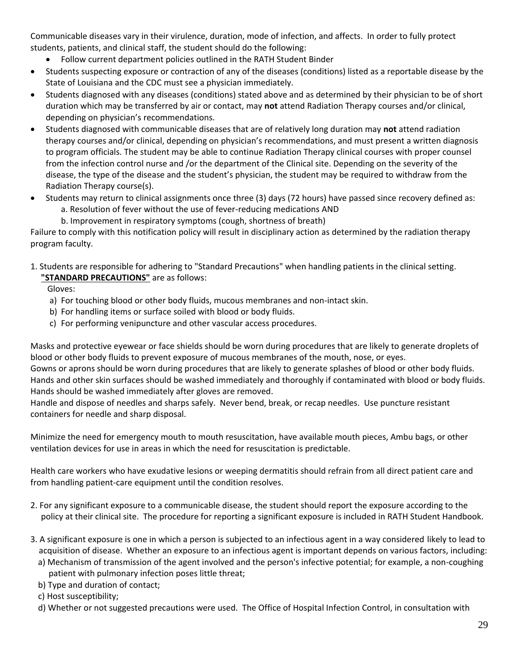Communicable diseases vary in their virulence, duration, mode of infection, and affects. In order to fully protect students, patients, and clinical staff, the student should do the following:

- Follow current department policies outlined in the RATH Student Binder
- Students suspecting exposure or contraction of any of the diseases (conditions) listed as a reportable disease by the State of Louisiana and the CDC must see a physician immediately.
- Students diagnosed with any diseases (conditions) stated above and as determined by their physician to be of short duration which may be transferred by air or contact, may **not** attend Radiation Therapy courses and/or clinical, depending on physician's recommendations.
- Students diagnosed with communicable diseases that are of relatively long duration may **not** attend radiation therapy courses and/or clinical, depending on physician's recommendations, and must present a written diagnosis to program officials. The student may be able to continue Radiation Therapy clinical courses with proper counsel from the infection control nurse and /or the department of the Clinical site. Depending on the severity of the disease, the type of the disease and the student's physician, the student may be required to withdraw from the Radiation Therapy course(s).
- Students may return to clinical assignments once three (3) days (72 hours) have passed since recovery defined as:
	- a. Resolution of fever without the use of fever-reducing medications AND
	- b. Improvement in respiratory symptoms (cough, shortness of breath)

Failure to comply with this notification policy will result in disciplinary action as determined by the radiation therapy program faculty.

1. Students are responsible for adhering to "Standard Precautions" when handling patients in the clinical setting.

 **"STANDARD PRECAUTIONS"** are as follows:

Gloves:

- a) For touching blood or other body fluids, mucous membranes and non-intact skin.
- b) For handling items or surface soiled with blood or body fluids.
- c) For performing venipuncture and other vascular access procedures.

Masks and protective eyewear or face shields should be worn during procedures that are likely to generate droplets of blood or other body fluids to prevent exposure of mucous membranes of the mouth, nose, or eyes.

Gowns or aprons should be worn during procedures that are likely to generate splashes of blood or other body fluids. Hands and other skin surfaces should be washed immediately and thoroughly if contaminated with blood or body fluids. Hands should be washed immediately after gloves are removed.

Handle and dispose of needles and sharps safely. Never bend, break, or recap needles. Use puncture resistant containers for needle and sharp disposal.

Minimize the need for emergency mouth to mouth resuscitation, have available mouth pieces, Ambu bags, or other ventilation devices for use in areas in which the need for resuscitation is predictable.

Health care workers who have exudative lesions or weeping dermatitis should refrain from all direct patient care and from handling patient-care equipment until the condition resolves.

- 2. For any significant exposure to a communicable disease, the student should report the exposure according to the policy at their clinical site. The procedure for reporting a significant exposure is included in RATH Student Handbook.
- 3. A significant exposure is one in which a person is subjected to an infectious agent in a way considered likely to lead to acquisition of disease. Whether an exposure to an infectious agent is important depends on various factors, including:
	- a) Mechanism of transmission of the agent involved and the person's infective potential; for example, a non-coughing patient with pulmonary infection poses little threat;
	- b) Type and duration of contact;

c) Host susceptibility;

d) Whether or not suggested precautions were used. The Office of Hospital Infection Control, in consultation with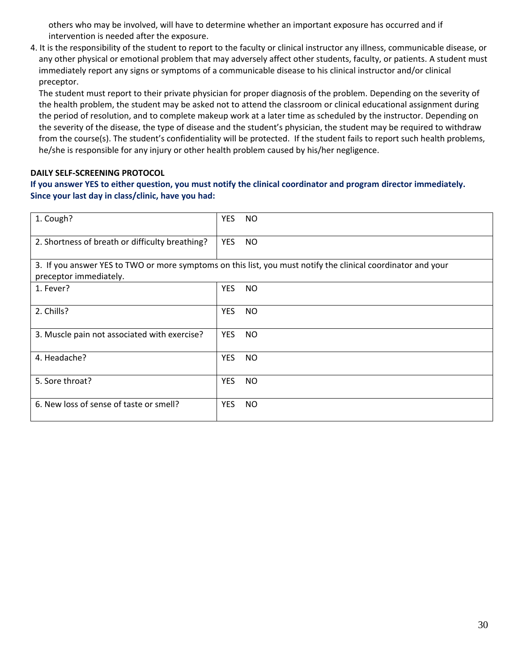others who may be involved, will have to determine whether an important exposure has occurred and if intervention is needed after the exposure.

4. It is the responsibility of the student to report to the faculty or clinical instructor any illness, communicable disease, or any other physical or emotional problem that may adversely affect other students, faculty, or patients. A student must immediately report any signs or symptoms of a communicable disease to his clinical instructor and/or clinical preceptor.

 The student must report to their private physician for proper diagnosis of the problem. Depending on the severity of the health problem, the student may be asked not to attend the classroom or clinical educational assignment during the period of resolution, and to complete makeup work at a later time as scheduled by the instructor. Depending on the severity of the disease, the type of disease and the student's physician, the student may be required to withdraw from the course(s). The student's confidentiality will be protected. If the student fails to report such health problems, he/she is responsible for any injury or other health problem caused by his/her negligence.

### **DAILY SELF-SCREENING PROTOCOL**

### **If you answer YES to either question, you must notify the clinical coordinator and program director immediately. Since your last day in class/clinic, have you had:**

| 1. Cough?                                       | YES        | <b>NO</b>                                                                                                    |
|-------------------------------------------------|------------|--------------------------------------------------------------------------------------------------------------|
| 2. Shortness of breath or difficulty breathing? | <b>YES</b> | <b>NO</b>                                                                                                    |
| preceptor immediately.                          |            | 3. If you answer YES to TWO or more symptoms on this list, you must notify the clinical coordinator and your |
| 1. Fever?                                       | <b>YES</b> | <b>NO</b>                                                                                                    |
| 2. Chills?                                      | <b>YES</b> | <b>NO</b>                                                                                                    |
| 3. Muscle pain not associated with exercise?    | <b>YES</b> | <b>NO</b>                                                                                                    |
| 4. Headache?                                    | <b>YES</b> | <b>NO</b>                                                                                                    |
| 5. Sore throat?                                 | <b>YES</b> | <b>NO</b>                                                                                                    |
| 6. New loss of sense of taste or smell?         | YES        | <b>NO</b>                                                                                                    |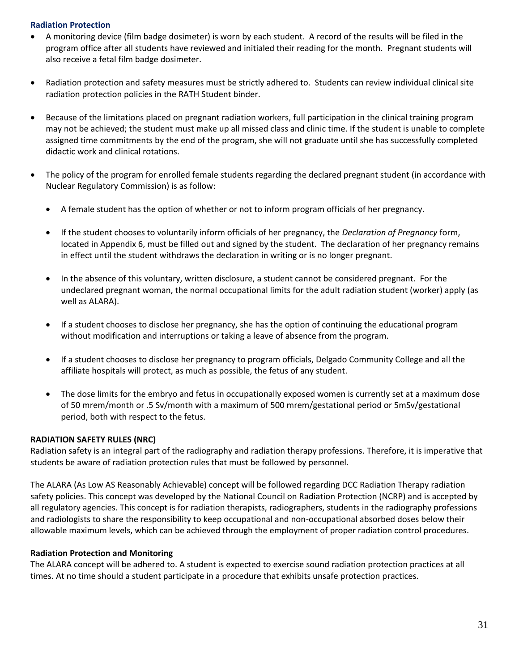### **Radiation Protection**

- A monitoring device (film badge dosimeter) is worn by each student. A record of the results will be filed in the program office after all students have reviewed and initialed their reading for the month. Pregnant students will also receive a fetal film badge dosimeter.
- Radiation protection and safety measures must be strictly adhered to. Students can review individual clinical site radiation protection policies in the RATH Student binder.
- Because of the limitations placed on pregnant radiation workers, full participation in the clinical training program may not be achieved; the student must make up all missed class and clinic time. If the student is unable to complete assigned time commitments by the end of the program, she will not graduate until she has successfully completed didactic work and clinical rotations.
- The policy of the program for enrolled female students regarding the declared pregnant student (in accordance with Nuclear Regulatory Commission) is as follow:
	- A female student has the option of whether or not to inform program officials of her pregnancy.
	- If the student chooses to voluntarily inform officials of her pregnancy, the *Declaration of Pregnancy* form, located in Appendix 6, must be filled out and signed by the student. The declaration of her pregnancy remains in effect until the student withdraws the declaration in writing or is no longer pregnant.
	- In the absence of this voluntary, written disclosure, a student cannot be considered pregnant. For the undeclared pregnant woman, the normal occupational limits for the adult radiation student (worker) apply (as well as ALARA).
	- If a student chooses to disclose her pregnancy, she has the option of continuing the educational program without modification and interruptions or taking a leave of absence from the program.
	- If a student chooses to disclose her pregnancy to program officials, Delgado Community College and all the affiliate hospitals will protect, as much as possible, the fetus of any student.
	- The dose limits for the embryo and fetus in occupationally exposed women is currently set at a maximum dose of 50 mrem/month or .5 Sv/month with a maximum of 500 mrem/gestational period or 5mSv/gestational period, both with respect to the fetus.

### **RADIATION SAFETY RULES (NRC)**

Radiation safety is an integral part of the radiography and radiation therapy professions. Therefore, it is imperative that students be aware of radiation protection rules that must be followed by personnel.

The ALARA (As Low AS Reasonably Achievable) concept will be followed regarding DCC Radiation Therapy radiation safety policies. This concept was developed by the National Council on Radiation Protection (NCRP) and is accepted by all regulatory agencies. This concept is for radiation therapists, radiographers, students in the radiography professions and radiologists to share the responsibility to keep occupational and non-occupational absorbed doses below their allowable maximum levels, which can be achieved through the employment of proper radiation control procedures.

### **Radiation Protection and Monitoring**

The ALARA concept will be adhered to. A student is expected to exercise sound radiation protection practices at all times. At no time should a student participate in a procedure that exhibits unsafe protection practices.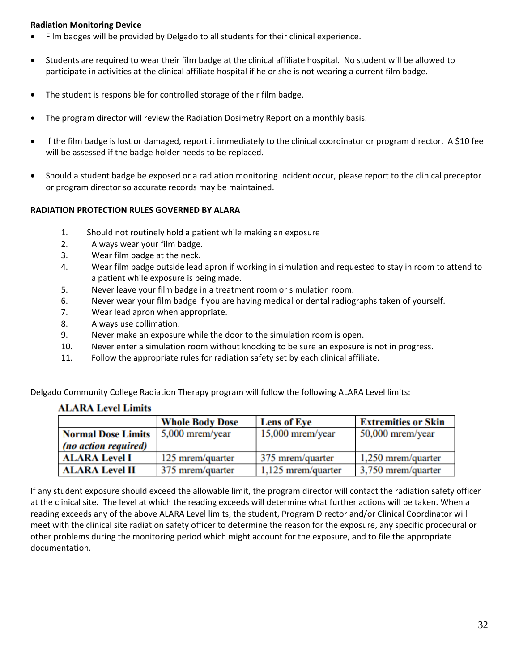### **Radiation Monitoring Device**

- Film badges will be provided by Delgado to all students for their clinical experience.
- Students are required to wear their film badge at the clinical affiliate hospital. No student will be allowed to participate in activities at the clinical affiliate hospital if he or she is not wearing a current film badge.
- The student is responsible for controlled storage of their film badge.
- The program director will review the Radiation Dosimetry Report on a monthly basis.
- If the film badge is lost or damaged, report it immediately to the clinical coordinator or program director. A \$10 fee will be assessed if the badge holder needs to be replaced.
- Should a student badge be exposed or a radiation monitoring incident occur, please report to the clinical preceptor or program director so accurate records may be maintained.

### **RADIATION PROTECTION RULES GOVERNED BY ALARA**

- 1. Should not routinely hold a patient while making an exposure
- 2. Always wear your film badge.
- 3. Wear film badge at the neck.
- 4. Wear film badge outside lead apron if working in simulation and requested to stay in room to attend to a patient while exposure is being made.
- 5. Never leave your film badge in a treatment room or simulation room.
- 6. Never wear your film badge if you are having medical or dental radiographs taken of yourself.
- 7. Wear lead apron when appropriate.
- 8. Always use collimation.
- 9. Never make an exposure while the door to the simulation room is open.
- 10. Never enter a simulation room without knocking to be sure an exposure is not in progress.
- 11. Follow the appropriate rules for radiation safety set by each clinical affiliate.

Delgado Community College Radiation Therapy program will follow the following ALARA Level limits:

|                           | <b>Whole Body Dose</b> | <b>Lens of Eye</b>   | <b>Extremities or Skin</b> |
|---------------------------|------------------------|----------------------|----------------------------|
| <b>Normal Dose Limits</b> | $5,000$ mrem/year      | $15,000$ mrem/year   | $50,000$ mrem/year         |
| (no action required)      |                        |                      |                            |
| <b>ALARA Level I</b>      | 125 mrem/quarter       | 375 mrem/quarter     | $1,250$ mrem/quarter       |
| <b>ALARA Level II</b>     | 375 mrem/quarter       | $1,125$ mrem/quarter | 3,750 mrem/quarter         |

### **ALARA Level Limits**

If any student exposure should exceed the allowable limit, the program director will contact the radiation safety officer at the clinical site. The level at which the reading exceeds will determine what further actions will be taken. When a reading exceeds any of the above ALARA Level limits, the student, Program Director and/or Clinical Coordinator will meet with the clinical site radiation safety officer to determine the reason for the exposure, any specific procedural or other problems during the monitoring period which might account for the exposure, and to file the appropriate documentation.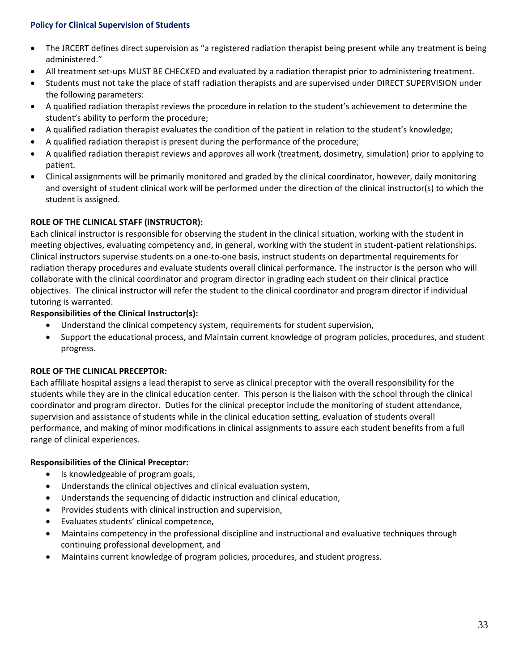### **Policy for Clinical Supervision of Students**

- The JRCERT defines direct supervision as "a registered radiation therapist being present while any treatment is being administered."
- All treatment set-ups MUST BE CHECKED and evaluated by a radiation therapist prior to administering treatment.
- Students must not take the place of staff radiation therapists and are supervised under DIRECT SUPERVISION under the following parameters:
- A qualified radiation therapist reviews the procedure in relation to the student's achievement to determine the student's ability to perform the procedure;
- A qualified radiation therapist evaluates the condition of the patient in relation to the student's knowledge;
- A qualified radiation therapist is present during the performance of the procedure;
- A qualified radiation therapist reviews and approves all work (treatment, dosimetry, simulation) prior to applying to patient.
- Clinical assignments will be primarily monitored and graded by the clinical coordinator, however, daily monitoring and oversight of student clinical work will be performed under the direction of the clinical instructor(s) to which the student is assigned.

### **ROLE OF THE CLINICAL STAFF (INSTRUCTOR):**

Each clinical instructor is responsible for observing the student in the clinical situation, working with the student in meeting objectives, evaluating competency and, in general, working with the student in student-patient relationships. Clinical instructors supervise students on a one-to-one basis, instruct students on departmental requirements for radiation therapy procedures and evaluate students overall clinical performance. The instructor is the person who will collaborate with the clinical coordinator and program director in grading each student on their clinical practice objectives. The clinical instructor will refer the student to the clinical coordinator and program director if individual tutoring is warranted.

### **Responsibilities of the Clinical Instructor(s):**

- Understand the clinical competency system, requirements for student supervision,
- Support the educational process, and Maintain current knowledge of program policies, procedures, and student progress.

### **ROLE OF THE CLINICAL PRECEPTOR:**

Each affiliate hospital assigns a lead therapist to serve as clinical preceptor with the overall responsibility for the students while they are in the clinical education center. This person is the liaison with the school through the clinical coordinator and program director. Duties for the clinical preceptor include the monitoring of student attendance, supervision and assistance of students while in the clinical education setting, evaluation of students overall performance, and making of minor modifications in clinical assignments to assure each student benefits from a full range of clinical experiences.

### **Responsibilities of the Clinical Preceptor:**

- Is knowledgeable of program goals,
- Understands the clinical objectives and clinical evaluation system,
- Understands the sequencing of didactic instruction and clinical education,
- Provides students with clinical instruction and supervision,
- Evaluates students' clinical competence,
- Maintains competency in the professional discipline and instructional and evaluative techniques through continuing professional development, and
- Maintains current knowledge of program policies, procedures, and student progress.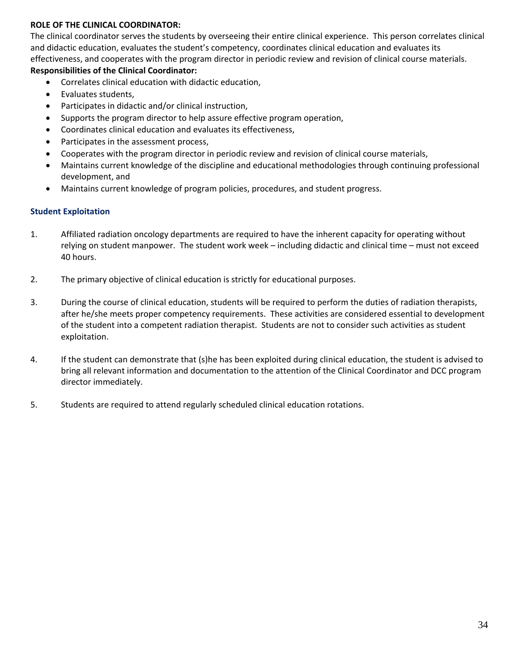### **ROLE OF THE CLINICAL COORDINATOR:**

The clinical coordinator serves the students by overseeing their entire clinical experience. This person correlates clinical and didactic education, evaluates the student's competency, coordinates clinical education and evaluates its effectiveness, and cooperates with the program director in periodic review and revision of clinical course materials. **Responsibilities of the Clinical Coordinator:**

- Correlates clinical education with didactic education,
- Evaluates students,
- Participates in didactic and/or clinical instruction,
- Supports the program director to help assure effective program operation,
- Coordinates clinical education and evaluates its effectiveness,
- Participates in the assessment process,
- Cooperates with the program director in periodic review and revision of clinical course materials,
- Maintains current knowledge of the discipline and educational methodologies through continuing professional development, and
- Maintains current knowledge of program policies, procedures, and student progress.

### **Student Exploitation**

- 1. Affiliated radiation oncology departments are required to have the inherent capacity for operating without relying on student manpower. The student work week – including didactic and clinical time – must not exceed 40 hours.
- 2. The primary objective of clinical education is strictly for educational purposes.
- 3. During the course of clinical education, students will be required to perform the duties of radiation therapists, after he/she meets proper competency requirements. These activities are considered essential to development of the student into a competent radiation therapist. Students are not to consider such activities as student exploitation.
- 4. If the student can demonstrate that (s)he has been exploited during clinical education, the student is advised to bring all relevant information and documentation to the attention of the Clinical Coordinator and DCC program director immediately.
- 5. Students are required to attend regularly scheduled clinical education rotations.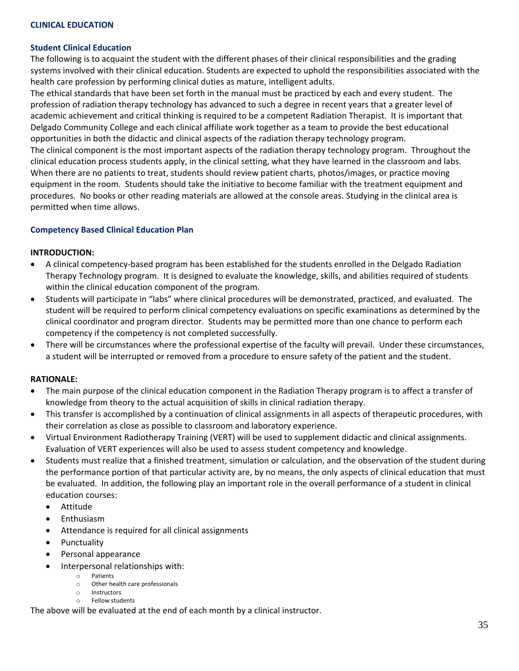### **Student Clinical Education**

The following is to acquaint the student with the different phases of their clinical responsibilities and the grading systems involved with their clinical education. Students are expected to uphold the responsibilities associated with the health care profession by performing clinical duties as mature, intelligent adults.

The ethical standards that have been set forth in the manual must be practiced by each and every student. The profession of radiation therapy technology has advanced to such a degree in recent years that a greater level of academic achievement and critical thinking is required to be a competent Radiation Therapist. It is important that Delgado Community College and each clinical affiliate work together as a team to provide the best educational opportunities in both the didactic and clinical aspects of the radiation therapy technology program.

The clinical component is the most important aspects of the radiation therapy technology program. Throughout the clinical education process students apply, in the clinical setting, what they have learned in the classroom and labs. When there are no patients to treat, students should review patient charts, photos/images, or practice moving equipment in the room. Students should take the initiative to become familiar with the treatment equipment and procedures. No books or other reading materials are allowed at the console areas. Studying in the clinical area is permitted when time allows.

### **Competency Based Clinical Education Plan**

### **INTRODUCTION:**

- A clinical competency-based program has been established for the students enrolled in the Delgado Radiation Therapy Technology program. It is designed to evaluate the knowledge, skills, and abilities required of students within the clinical education component of the program.
- Students will participate in "labs" where clinical procedures will be demonstrated, practiced, and evaluated. The student will be required to perform clinical competency evaluations on specific examinations as determined by the clinical coordinator and program director. Students may be permitted more than one chance to perform each competency if the competency is not completed successfully.
- There will be circumstances where the professional expertise of the faculty will prevail. Under these circumstances, a student will be interrupted or removed from a procedure to ensure safety of the patient and the student.

### **RATIONALE:**

- The main purpose of the clinical education component in the Radiation Therapy program is to affect a transfer of knowledge from theory to the actual acquisition of skills in clinical radiation therapy.
- This transfer is accomplished by a continuation of clinical assignments in all aspects of therapeutic procedures, with their correlation as close as possible to classroom and laboratory experience.
- Virtual Environment Radiotherapy Training (VERT) will be used to supplement didactic and clinical assignments. Evaluation of VERT experiences will also be used to assess student competency and knowledge.
- Students must realize that a finished treatment, simulation or calculation, and the observation of the student during the performance portion of that particular activity are, by no means, the only aspects of clinical education that must be evaluated. In addition, the following play an important role in the overall performance of a student in clinical education courses:
	- Attitude
	- **Enthusiasm**
	- Attendance is required for all clinical assignments
	- Punctuality
	- Personal appearance
	- Interpersonal relationships with:
		- o Patients
		- o Other health care professionals
		- o Instructors o Fellow students

The above will be evaluated at the end of each month by a clinical instructor.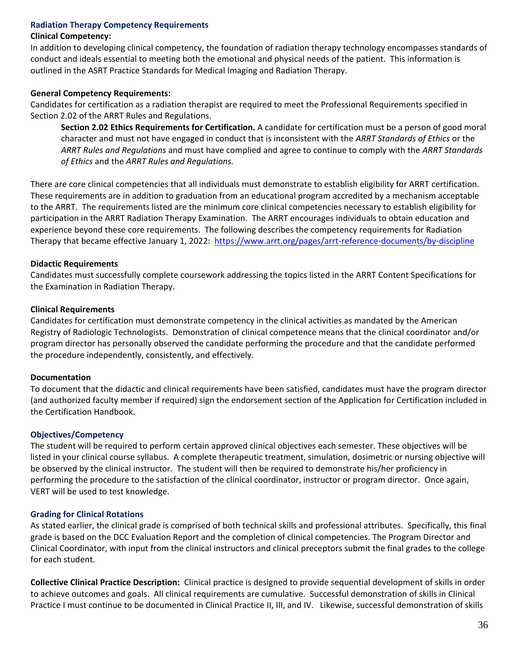### **Radiation Therapy Competency Requirements**

### **Clinical Competency:**

In addition to developing clinical competency, the foundation of radiation therapy technology encompasses standards of conduct and ideals essential to meeting both the emotional and physical needs of the patient. This information is outlined in the ASRT Practice Standards for Medical Imaging and Radiation Therapy.

### **General Competency Requirements:**

Candidates for certification as a radiation therapist are required to meet the Professional Requirements specified in Section 2.02 of the ARRT Rules and Regulations.

**Section 2.02 Ethics Requirements for Certification.** A candidate for certification must be a person of good moral character and must not have engaged in conduct that is inconsistent with the *ARRT Standards of Ethics* or the *ARRT Rules and Regulations* and must have complied and agree to continue to comply with the *ARRT Standards of Ethics* and the *ARRT Rules and Regulations.*

There are core clinical competencies that all individuals must demonstrate to establish eligibility for ARRT certification. These requirements are in addition to graduation from an educational program accredited by a mechanism acceptable to the ARRT. The requirements listed are the minimum core clinical competencies necessary to establish eligibility for participation in the ARRT Radiation Therapy Examination. The ARRT encourages individuals to obtain education and experience beyond these core requirements. The following describes the competency requirements for Radiation Therapy that became effective January 1, 2022: <https://www.arrt.org/pages/arrt-reference-documents/by-discipline>

### **Didactic Requirements**

Candidates must successfully complete coursework addressing the topics listed in the ARRT Content Specifications for the Examination in Radiation Therapy.

### **Clinical Requirements**

Candidates for certification must demonstrate competency in the clinical activities as mandated by the American Registry of Radiologic Technologists. Demonstration of clinical competence means that the clinical coordinator and/or program director has personally observed the candidate performing the procedure and that the candidate performed the procedure independently, consistently, and effectively.

### **Documentation**

To document that the didactic and clinical requirements have been satisfied, candidates must have the program director (and authorized faculty member if required) sign the endorsement section of the Application for Certification included in the Certification Handbook.

### **Objectives/Competency**

The student will be required to perform certain approved clinical objectives each semester. These objectives will be listed in your clinical course syllabus. A complete therapeutic treatment, simulation, dosimetric or nursing objective will be observed by the clinical instructor. The student will then be required to demonstrate his/her proficiency in performing the procedure to the satisfaction of the clinical coordinator, instructor or program director. Once again, VERT will be used to test knowledge.

### **Grading for Clinical Rotations**

As stated earlier, the clinical grade is comprised of both technical skills and professional attributes. Specifically, this final grade is based on the DCC Evaluation Report and the completion of clinical competencies. The Program Director and Clinical Coordinator, with input from the clinical instructors and clinical preceptors submit the final grades to the college for each student.

**Collective Clinical Practice Description:** Clinical practice is designed to provide sequential development of skills in order to achieve outcomes and goals. All clinical requirements are cumulative. Successful demonstration of skills in Clinical Practice I must continue to be documented in Clinical Practice II, III, and IV. Likewise, successful demonstration of skills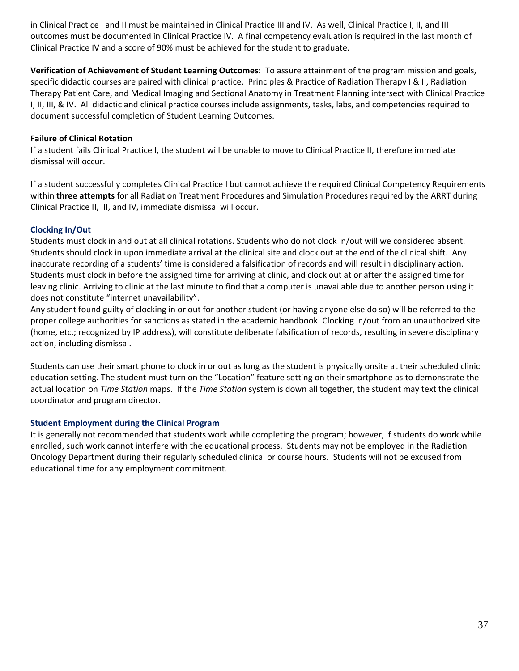in Clinical Practice I and II must be maintained in Clinical Practice III and IV. As well, Clinical Practice I, II, and III outcomes must be documented in Clinical Practice IV. A final competency evaluation is required in the last month of Clinical Practice IV and a score of 90% must be achieved for the student to graduate.

**Verification of Achievement of Student Learning Outcomes:** To assure attainment of the program mission and goals, specific didactic courses are paired with clinical practice. Principles & Practice of Radiation Therapy I & II, Radiation Therapy Patient Care, and Medical Imaging and Sectional Anatomy in Treatment Planning intersect with Clinical Practice I, II, III, & IV. All didactic and clinical practice courses include assignments, tasks, labs, and competencies required to document successful completion of Student Learning Outcomes.

### **Failure of Clinical Rotation**

If a student fails Clinical Practice I, the student will be unable to move to Clinical Practice II, therefore immediate dismissal will occur.

If a student successfully completes Clinical Practice I but cannot achieve the required Clinical Competency Requirements within **three attempts** for all Radiation Treatment Procedures and Simulation Procedures required by the ARRT during Clinical Practice II, III, and IV, immediate dismissal will occur.

### **Clocking In/Out**

Students must clock in and out at all clinical rotations. Students who do not clock in/out will we considered absent. Students should clock in upon immediate arrival at the clinical site and clock out at the end of the clinical shift. Any inaccurate recording of a students' time is considered a falsification of records and will result in disciplinary action. Students must clock in before the assigned time for arriving at clinic, and clock out at or after the assigned time for leaving clinic. Arriving to clinic at the last minute to find that a computer is unavailable due to another person using it does not constitute "internet unavailability".

Any student found guilty of clocking in or out for another student (or having anyone else do so) will be referred to the proper college authorities for sanctions as stated in the academic handbook. Clocking in/out from an unauthorized site (home, etc.; recognized by IP address), will constitute deliberate falsification of records, resulting in severe disciplinary action, including dismissal.

Students can use their smart phone to clock in or out as long as the student is physically onsite at their scheduled clinic education setting. The student must turn on the "Location" feature setting on their smartphone as to demonstrate the actual location on *Time Station* maps. If the *Time Station* system is down all together, the student may text the clinical coordinator and program director.

### **Student Employment during the Clinical Program**

It is generally not recommended that students work while completing the program; however, if students do work while enrolled, such work cannot interfere with the educational process. Students may not be employed in the Radiation Oncology Department during their regularly scheduled clinical or course hours. Students will not be excused from educational time for any employment commitment.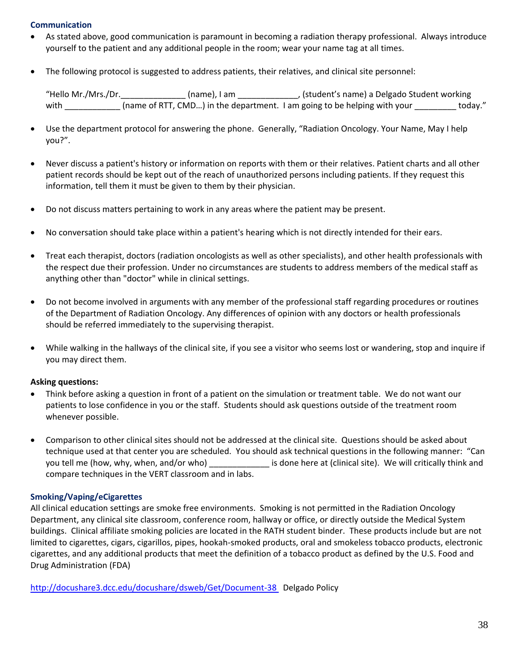### **Communication**

- As stated above, good communication is paramount in becoming a radiation therapy professional. Always introduce yourself to the patient and any additional people in the room; wear your name tag at all times.
- The following protocol is suggested to address patients, their relatives, and clinical site personnel:

"Hello Mr./Mrs./Dr.\_\_\_\_\_\_\_\_\_\_\_\_\_\_ (name), I am \_\_\_\_\_\_\_\_\_\_\_\_\_, (student's name) a Delgado Student working with \_\_\_\_\_\_\_\_\_\_\_\_ (name of RTT, CMD...) in the department. I am going to be helping with your \_\_\_\_\_\_\_\_\_ today."

- Use the department protocol for answering the phone. Generally, "Radiation Oncology. Your Name, May I help you?".
- Never discuss a patient's history or information on reports with them or their relatives. Patient charts and all other patient records should be kept out of the reach of unauthorized persons including patients. If they request this information, tell them it must be given to them by their physician.
- Do not discuss matters pertaining to work in any areas where the patient may be present.
- No conversation should take place within a patient's hearing which is not directly intended for their ears.
- Treat each therapist, doctors (radiation oncologists as well as other specialists), and other health professionals with the respect due their profession. Under no circumstances are students to address members of the medical staff as anything other than "doctor" while in clinical settings.
- Do not become involved in arguments with any member of the professional staff regarding procedures or routines of the Department of Radiation Oncology. Any differences of opinion with any doctors or health professionals should be referred immediately to the supervising therapist.
- While walking in the hallways of the clinical site, if you see a visitor who seems lost or wandering, stop and inquire if you may direct them.

### **Asking questions:**

- Think before asking a question in front of a patient on the simulation or treatment table. We do not want our patients to lose confidence in you or the staff. Students should ask questions outside of the treatment room whenever possible.
- Comparison to other clinical sites should not be addressed at the clinical site. Questions should be asked about technique used at that center you are scheduled. You should ask technical questions in the following manner: "Can you tell me (how, why, when, and/or who) exactled is done here at (clinical site). We will critically think and compare techniques in the VERT classroom and in labs.

### **Smoking/Vaping/eCigarettes**

All clinical education settings are smoke free environments. Smoking is not permitted in the Radiation Oncology Department, any clinical site classroom, conference room, hallway or office, or directly outside the Medical System buildings. Clinical affiliate smoking policies are located in the RATH student binder. These products include but are not limited to cigarettes, cigars, cigarillos, pipes, hookah-smoked products, oral and smokeless tobacco products, electronic cigarettes, and any additional products that meet the definition of a tobacco product as defined by the U.S. Food and Drug Administration (FDA)

<http://docushare3.dcc.edu/docushare/dsweb/Get/Document-38> Delgado Policy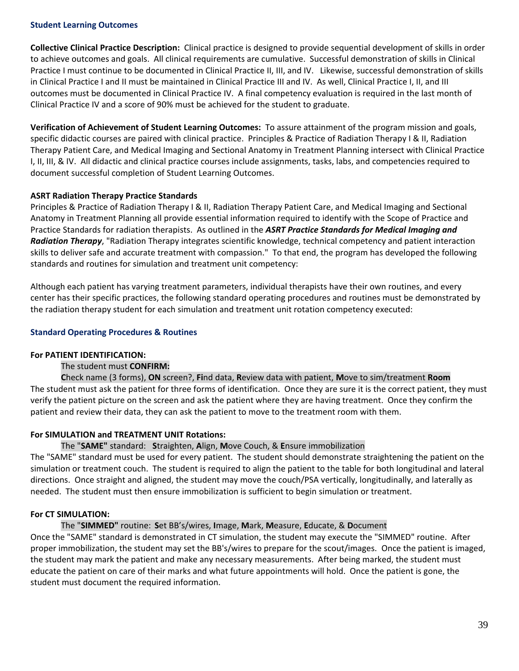### **Student Learning Outcomes**

**Collective Clinical Practice Description:** Clinical practice is designed to provide sequential development of skills in order to achieve outcomes and goals. All clinical requirements are cumulative. Successful demonstration of skills in Clinical Practice I must continue to be documented in Clinical Practice II, III, and IV. Likewise, successful demonstration of skills in Clinical Practice I and II must be maintained in Clinical Practice III and IV. As well, Clinical Practice I, II, and III outcomes must be documented in Clinical Practice IV. A final competency evaluation is required in the last month of Clinical Practice IV and a score of 90% must be achieved for the student to graduate.

**Verification of Achievement of Student Learning Outcomes:** To assure attainment of the program mission and goals, specific didactic courses are paired with clinical practice. Principles & Practice of Radiation Therapy I & II, Radiation Therapy Patient Care, and Medical Imaging and Sectional Anatomy in Treatment Planning intersect with Clinical Practice I, II, III, & IV. All didactic and clinical practice courses include assignments, tasks, labs, and competencies required to document successful completion of Student Learning Outcomes.

### **ASRT Radiation Therapy Practice Standards**

Principles & Practice of Radiation Therapy I & II, Radiation Therapy Patient Care, and Medical Imaging and Sectional Anatomy in Treatment Planning all provide essential information required to identify with the Scope of Practice and Practice Standards for radiation therapists. As outlined in the *ASRT Practice Standards for Medical Imaging and Radiation Therapy*, "Radiation Therapy integrates scientific knowledge, technical competency and patient interaction skills to deliver safe and accurate treatment with compassion." To that end, the program has developed the following standards and routines for simulation and treatment unit competency:

Although each patient has varying treatment parameters, individual therapists have their own routines, and every center has their specific practices, the following standard operating procedures and routines must be demonstrated by the radiation therapy student for each simulation and treatment unit rotation competency executed:

### **Standard Operating Procedures & Routines**

### **For PATIENT IDENTIFICATION:**

### The student must **CONFIRM:**

**C**heck name (3 forms), **ON** screen?, **Fi**nd data, **R**eview data with patient, **M**ove to sim/treatment **Room** The student must ask the patient for three forms of identification. Once they are sure it is the correct patient, they must verify the patient picture on the screen and ask the patient where they are having treatment. Once they confirm the patient and review their data, they can ask the patient to move to the treatment room with them.

### **For SIMULATION and TREATMENT UNIT Rotations:**

### The "**SAME"** standard: **S**traighten, **A**lign, **M**ove Couch, & **E**nsure immobilization

The "SAME" standard must be used for every patient. The student should demonstrate straightening the patient on the simulation or treatment couch. The student is required to align the patient to the table for both longitudinal and lateral directions. Once straight and aligned, the student may move the couch/PSA vertically, longitudinally, and laterally as needed. The student must then ensure immobilization is sufficient to begin simulation or treatment.

### **For CT SIMULATION:**

The "**SIMMED"** routine: **S**et BB's/wires, **I**mage, **M**ark, **M**easure, **E**ducate, & **D**ocument Once the "SAME" standard is demonstrated in CT simulation, the student may execute the "SIMMED" routine. After proper immobilization, the student may set the BB's/wires to prepare for the scout/images. Once the patient is imaged, the student may mark the patient and make any necessary measurements. After being marked, the student must educate the patient on care of their marks and what future appointments will hold. Once the patient is gone, the student must document the required information.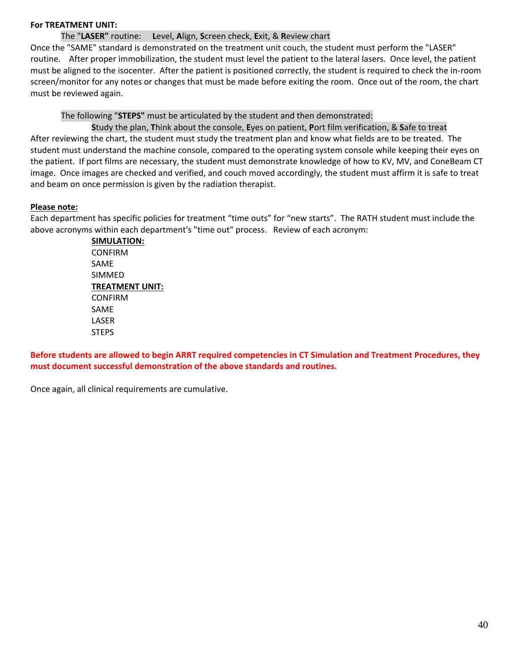### **For TREATMENT UNIT:**

### The "**LASER"** routine: **L**evel, **A**lign, **S**creen check, **E**xit, & **R**eview chart

Once the "SAME" standard is demonstrated on the treatment unit couch, the student must perform the "LASER" routine. After proper immobilization, the student must level the patient to the lateral lasers. Once level, the patient must be aligned to the isocenter. After the patient is positioned correctly, the student is required to check the in-room screen/monitor for any notes or changes that must be made before exiting the room. Once out of the room, the chart must be reviewed again.

The following "**STEPS"** must be articulated by the student and then demonstrated:

**S**tudy the plan, **T**hink about the console, **E**yes on patient, **P**ort film verification, & **S**afe to treat After reviewing the chart, the student must study the treatment plan and know what fields are to be treated. The student must understand the machine console, compared to the operating system console while keeping their eyes on the patient. If port films are necessary, the student must demonstrate knowledge of how to KV, MV, and ConeBeam CT image. Once images are checked and verified, and couch moved accordingly, the student must affirm it is safe to treat and beam on once permission is given by the radiation therapist.

### **Please note:**

Each department has specific policies for treatment "time outs" for "new starts". The RATH student must include the above acronyms within each department's "time out" process. Review of each acronym:

> **SIMULATION:** CONFIRM SAME SIMMED **TREATMENT UNIT:** CONFIRM SAME LASER **STEPS**

**Before students are allowed to begin ARRT required competencies in CT Simulation and Treatment Procedures, they must document successful demonstration of the above standards and routines.** 

Once again, all clinical requirements are cumulative.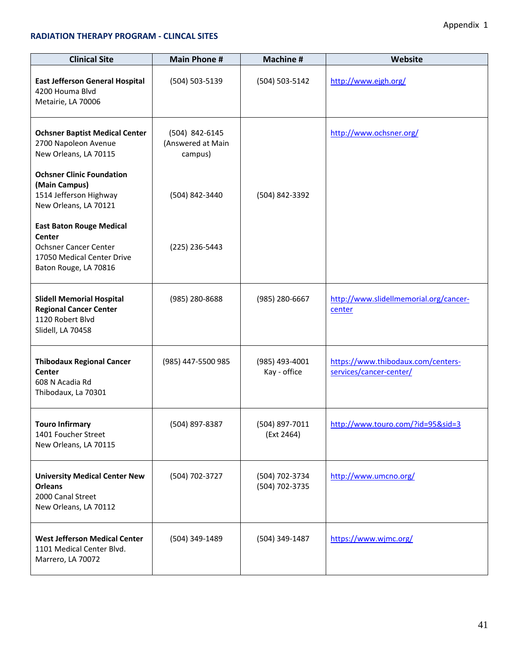### **RADIATION THERAPY PROGRAM - CLINCAL SITES**

| <b>Clinical Site</b>                                                                                                             | <b>Main Phone #</b>                            | <b>Machine#</b>                  | Website                                                       |
|----------------------------------------------------------------------------------------------------------------------------------|------------------------------------------------|----------------------------------|---------------------------------------------------------------|
| <b>East Jefferson General Hospital</b><br>4200 Houma Blvd<br>Metairie, LA 70006                                                  | (504) 503-5139                                 | (504) 503-5142                   | http://www.ejgh.org/                                          |
| <b>Ochsner Baptist Medical Center</b><br>2700 Napoleon Avenue<br>New Orleans, LA 70115                                           | (504) 842-6145<br>(Answered at Main<br>campus) |                                  | http://www.ochsner.org/                                       |
| <b>Ochsner Clinic Foundation</b><br>(Main Campus)<br>1514 Jefferson Highway<br>New Orleans, LA 70121                             | (504) 842-3440                                 | (504) 842-3392                   |                                                               |
| <b>East Baton Rouge Medical</b><br>Center<br><b>Ochsner Cancer Center</b><br>17050 Medical Center Drive<br>Baton Rouge, LA 70816 | (225) 236-5443                                 |                                  |                                                               |
| <b>Slidell Memorial Hospital</b><br><b>Regional Cancer Center</b><br>1120 Robert Blvd<br>Slidell, LA 70458                       | (985) 280-8688                                 | (985) 280-6667                   | http://www.slidellmemorial.org/cancer-<br>center              |
| <b>Thibodaux Regional Cancer</b><br>Center<br>608 N Acadia Rd<br>Thibodaux, La 70301                                             | (985) 447-5500 985                             | (985) 493-4001<br>Kay - office   | https://www.thibodaux.com/centers-<br>services/cancer-center/ |
| <b>Touro Infirmary</b><br>1401 Foucher Street<br>New Orleans, LA 70115                                                           | (504) 897-8387                                 | (504) 897-7011<br>(Ext 2464)     | http://www.touro.com/?id=95&sid=3                             |
| <b>University Medical Center New</b><br><b>Orleans</b><br>2000 Canal Street<br>New Orleans, LA 70112                             | (504) 702-3727                                 | (504) 702-3734<br>(504) 702-3735 | http://www.umcno.org/                                         |
| <b>West Jefferson Medical Center</b><br>1101 Medical Center Blvd.<br>Marrero, LA 70072                                           | (504) 349-1489                                 | (504) 349-1487                   | https://www.wjmc.org/                                         |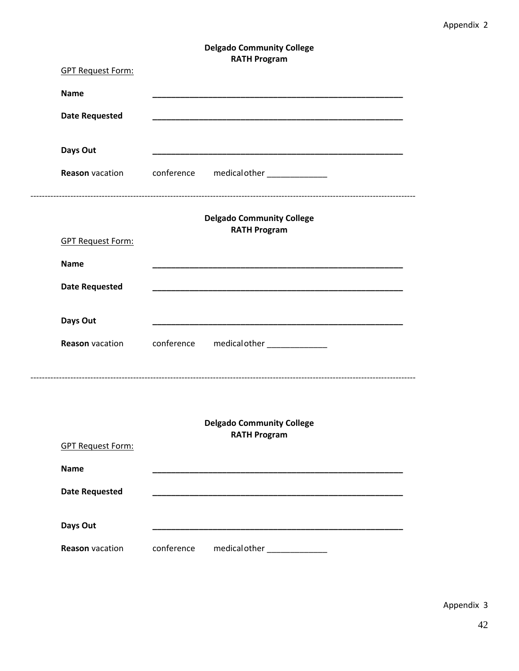### **Delgado Community College RATH Program**

| <b>GPT Request Form:</b> |            | natu rivgiani                                           |
|--------------------------|------------|---------------------------------------------------------|
| <b>Name</b>              |            |                                                         |
| <b>Date Requested</b>    |            |                                                         |
|                          |            |                                                         |
| Days Out                 |            |                                                         |
|                          |            | Reason vacation conference medical other _____________  |
|                          |            |                                                         |
|                          |            | <b>Delgado Community College</b><br><b>RATH Program</b> |
| <b>GPT Request Form:</b> |            |                                                         |
| <b>Name</b>              |            |                                                         |
| <b>Date Requested</b>    |            |                                                         |
|                          |            |                                                         |
| Days Out                 |            |                                                         |
|                          |            | Reason vacation conference medical other _____________  |
|                          |            |                                                         |
|                          |            |                                                         |
|                          |            | <b>Delgado Community College</b>                        |
| <b>GPT Request Form:</b> |            | <b>RATH Program</b>                                     |
|                          |            |                                                         |
| <b>Name</b>              |            |                                                         |
| <b>Date Requested</b>    |            |                                                         |
| Days Out                 |            |                                                         |
| <b>Reason</b> vacation   | conference | medical other _____________                             |
|                          |            |                                                         |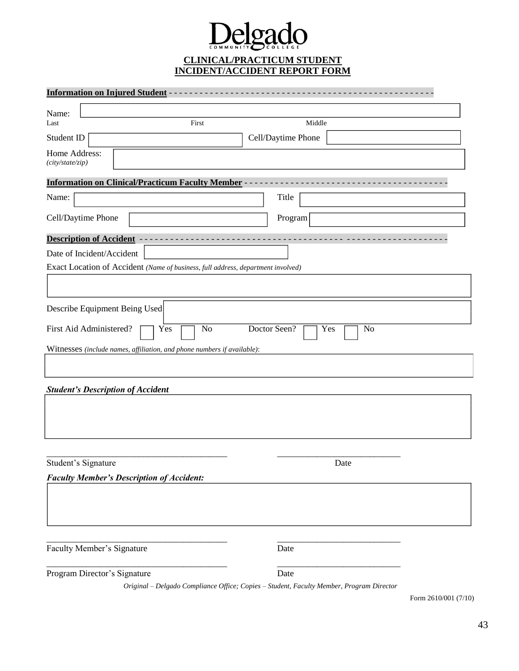# Delgado **CLINICAL/PRACTICUM STUDENT INCIDENT/ACCIDENT REPORT FORM**

| Middle<br>Cell/Daytime Phone                                                                             |
|----------------------------------------------------------------------------------------------------------|
|                                                                                                          |
|                                                                                                          |
|                                                                                                          |
|                                                                                                          |
|                                                                                                          |
| Title                                                                                                    |
| Program                                                                                                  |
|                                                                                                          |
|                                                                                                          |
| Exact Location of Accident (Name of business, full address, department involved)                         |
|                                                                                                          |
|                                                                                                          |
|                                                                                                          |
| Doctor Seen?<br>Yes<br>No                                                                                |
|                                                                                                          |
|                                                                                                          |
|                                                                                                          |
|                                                                                                          |
|                                                                                                          |
|                                                                                                          |
|                                                                                                          |
|                                                                                                          |
|                                                                                                          |
| Date                                                                                                     |
|                                                                                                          |
|                                                                                                          |
|                                                                                                          |
|                                                                                                          |
|                                                                                                          |
|                                                                                                          |
|                                                                                                          |
|                                                                                                          |
| Date<br>Date<br>Original - Delgado Compliance Office; Copies - Student, Faculty Member, Program Director |

Form 2610/001 (7/10)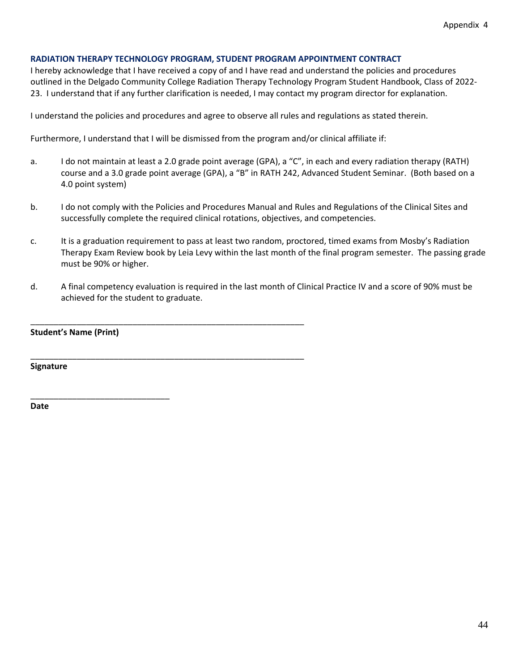### **RADIATION THERAPY TECHNOLOGY PROGRAM, STUDENT PROGRAM APPOINTMENT CONTRACT**

I hereby acknowledge that I have received a copy of and I have read and understand the policies and procedures outlined in the Delgado Community College Radiation Therapy Technology Program Student Handbook, Class of 2022- 23. I understand that if any further clarification is needed, I may contact my program director for explanation.

I understand the policies and procedures and agree to observe all rules and regulations as stated therein.

Furthermore, I understand that I will be dismissed from the program and/or clinical affiliate if:

\_\_\_\_\_\_\_\_\_\_\_\_\_\_\_\_\_\_\_\_\_\_\_\_\_\_\_\_\_\_\_\_\_\_\_\_\_\_\_\_\_\_\_\_\_\_\_\_\_\_\_\_\_\_\_\_\_\_\_

\_\_\_\_\_\_\_\_\_\_\_\_\_\_\_\_\_\_\_\_\_\_\_\_\_\_\_\_\_\_\_\_\_\_\_\_\_\_\_\_\_\_\_\_\_\_\_\_\_\_\_\_\_\_\_\_\_\_\_

- a. I do not maintain at least a 2.0 grade point average (GPA), a "C", in each and every radiation therapy (RATH) course and a 3.0 grade point average (GPA), a "B" in RATH 242, Advanced Student Seminar. (Both based on a 4.0 point system)
- b. I do not comply with the Policies and Procedures Manual and Rules and Regulations of the Clinical Sites and successfully complete the required clinical rotations, objectives, and competencies.
- c. It is a graduation requirement to pass at least two random, proctored, timed exams from Mosby's Radiation Therapy Exam Review book by Leia Levy within the last month of the final program semester. The passing grade must be 90% or higher.
- d. A final competency evaluation is required in the last month of Clinical Practice IV and a score of 90% must be achieved for the student to graduate.

| <b>Student's Name (Print)</b> |  |
|-------------------------------|--|
|-------------------------------|--|

\_\_\_\_\_\_\_\_\_\_\_\_\_\_\_\_\_\_\_\_\_\_\_\_\_\_\_\_\_\_

**Signature**

**Date**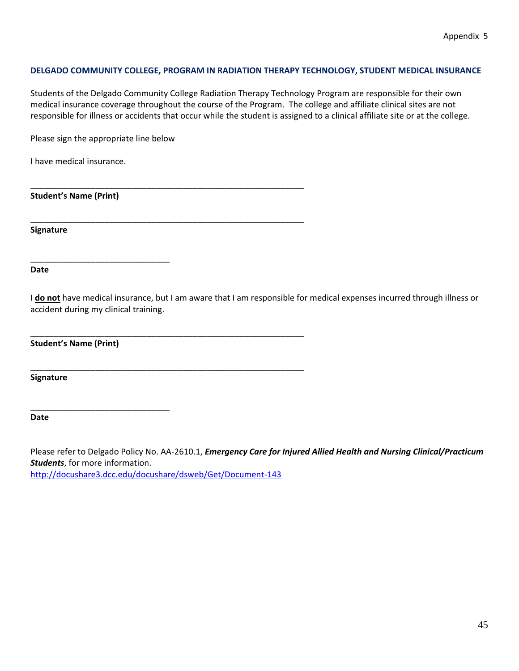### **DELGADO COMMUNITY COLLEGE, PROGRAM IN RADIATION THERAPY TECHNOLOGY, STUDENT MEDICAL INSURANCE**

Students of the Delgado Community College Radiation Therapy Technology Program are responsible for their own medical insurance coverage throughout the course of the Program. The college and affiliate clinical sites are not responsible for illness or accidents that occur while the student is assigned to a clinical affiliate site or at the college.

Please sign the appropriate line below

\_\_\_\_\_\_\_\_\_\_\_\_\_\_\_\_\_\_\_\_\_\_\_\_\_\_\_\_\_\_

\_\_\_\_\_\_\_\_\_\_\_\_\_\_\_\_\_\_\_\_\_\_\_\_\_\_\_\_\_\_

\_\_\_\_\_\_\_\_\_\_\_\_\_\_\_\_\_\_\_\_\_\_\_\_\_\_\_\_\_\_\_\_\_\_\_\_\_\_\_\_\_\_\_\_\_\_\_\_\_\_\_\_\_\_\_\_\_\_\_

\_\_\_\_\_\_\_\_\_\_\_\_\_\_\_\_\_\_\_\_\_\_\_\_\_\_\_\_\_\_\_\_\_\_\_\_\_\_\_\_\_\_\_\_\_\_\_\_\_\_\_\_\_\_\_\_\_\_\_

\_\_\_\_\_\_\_\_\_\_\_\_\_\_\_\_\_\_\_\_\_\_\_\_\_\_\_\_\_\_\_\_\_\_\_\_\_\_\_\_\_\_\_\_\_\_\_\_\_\_\_\_\_\_\_\_\_\_\_

\_\_\_\_\_\_\_\_\_\_\_\_\_\_\_\_\_\_\_\_\_\_\_\_\_\_\_\_\_\_\_\_\_\_\_\_\_\_\_\_\_\_\_\_\_\_\_\_\_\_\_\_\_\_\_\_\_\_\_

I have medical insurance.

**Student's Name (Print)**

**Signature**

**Date**

I **do not** have medical insurance, but I am aware that I am responsible for medical expenses incurred through illness or accident during my clinical training.

**Student's Name (Print)**

**Signature**

**Date**

Please refer to Delgado Policy No. AA-2610.1, *Emergency Care for Injured Allied Health and Nursing Clinical/Practicum Students*, for more information. <http://docushare3.dcc.edu/docushare/dsweb/Get/Document-143>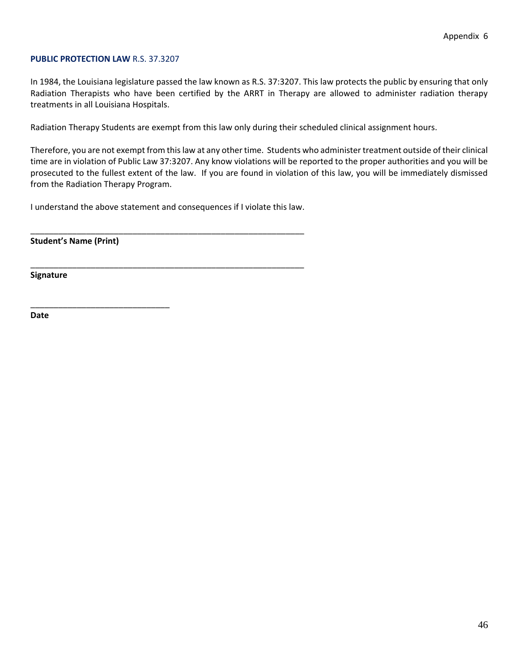#### **PUBLIC PROTECTION LAW** R.S. 37.3207

In 1984, the Louisiana legislature passed the law known as R.S. 37:3207. This law protects the public by ensuring that only Radiation Therapists who have been certified by the ARRT in Therapy are allowed to administer radiation therapy treatments in all Louisiana Hospitals.

Radiation Therapy Students are exempt from this law only during their scheduled clinical assignment hours.

Therefore, you are not exempt from this law at any other time. Students who administer treatment outside of their clinical time are in violation of Public Law 37:3207. Any know violations will be reported to the proper authorities and you will be prosecuted to the fullest extent of the law. If you are found in violation of this law, you will be immediately dismissed from the Radiation Therapy Program.

I understand the above statement and consequences if I violate this law.

\_\_\_\_\_\_\_\_\_\_\_\_\_\_\_\_\_\_\_\_\_\_\_\_\_\_\_\_\_\_\_\_\_\_\_\_\_\_\_\_\_\_\_\_\_\_\_\_\_\_\_\_\_\_\_\_\_\_\_

\_\_\_\_\_\_\_\_\_\_\_\_\_\_\_\_\_\_\_\_\_\_\_\_\_\_\_\_\_\_\_\_\_\_\_\_\_\_\_\_\_\_\_\_\_\_\_\_\_\_\_\_\_\_\_\_\_\_\_

**Student's Name (Print)**

\_\_\_\_\_\_\_\_\_\_\_\_\_\_\_\_\_\_\_\_\_\_\_\_\_\_\_\_\_\_

**Signature**

**Date**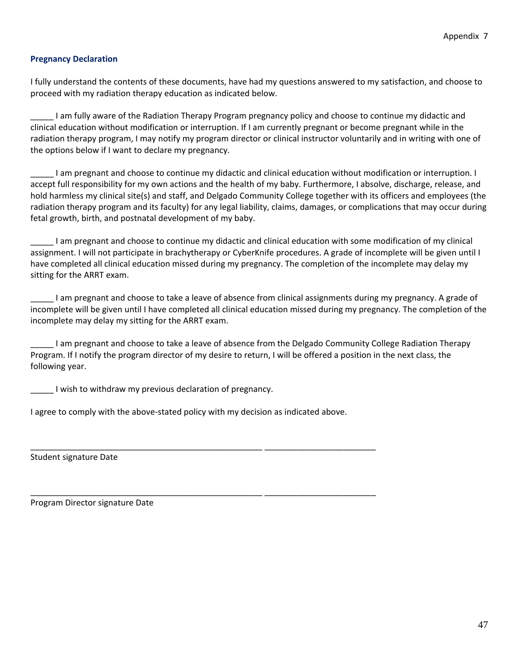### **Pregnancy Declaration**

I fully understand the contents of these documents, have had my questions answered to my satisfaction, and choose to proceed with my radiation therapy education as indicated below.

\_\_\_\_\_ I am fully aware of the Radiation Therapy Program pregnancy policy and choose to continue my didactic and clinical education without modification or interruption. If I am currently pregnant or become pregnant while in the radiation therapy program, I may notify my program director or clinical instructor voluntarily and in writing with one of the options below if I want to declare my pregnancy.

\_\_\_\_\_ I am pregnant and choose to continue my didactic and clinical education without modification or interruption. I accept full responsibility for my own actions and the health of my baby. Furthermore, I absolve, discharge, release, and hold harmless my clinical site(s) and staff, and Delgado Community College together with its officers and employees (the radiation therapy program and its faculty) for any legal liability, claims, damages, or complications that may occur during fetal growth, birth, and postnatal development of my baby.

\_\_\_\_\_ I am pregnant and choose to continue my didactic and clinical education with some modification of my clinical assignment. I will not participate in brachytherapy or CyberKnife procedures. A grade of incomplete will be given until I have completed all clinical education missed during my pregnancy. The completion of the incomplete may delay my sitting for the ARRT exam.

\_\_\_\_\_ I am pregnant and choose to take a leave of absence from clinical assignments during my pregnancy. A grade of incomplete will be given until I have completed all clinical education missed during my pregnancy. The completion of the incomplete may delay my sitting for the ARRT exam.

\_\_\_\_\_ I am pregnant and choose to take a leave of absence from the Delgado Community College Radiation Therapy Program. If I notify the program director of my desire to return, I will be offered a position in the next class, the following year.

I wish to withdraw my previous declaration of pregnancy.

I agree to comply with the above-stated policy with my decision as indicated above.

\_\_\_\_\_\_\_\_\_\_\_\_\_\_\_\_\_\_\_\_\_\_\_\_\_\_\_\_\_\_\_\_\_\_\_\_\_\_\_\_\_\_\_\_\_\_\_\_\_\_ \_\_\_\_\_\_\_\_\_\_\_\_\_\_\_\_\_\_\_\_\_\_\_\_

\_\_\_\_\_\_\_\_\_\_\_\_\_\_\_\_\_\_\_\_\_\_\_\_\_\_\_\_\_\_\_\_\_\_\_\_\_\_\_\_\_\_\_\_\_\_\_\_\_\_ \_\_\_\_\_\_\_\_\_\_\_\_\_\_\_\_\_\_\_\_\_\_\_\_

Student signature Date

Program Director signature Date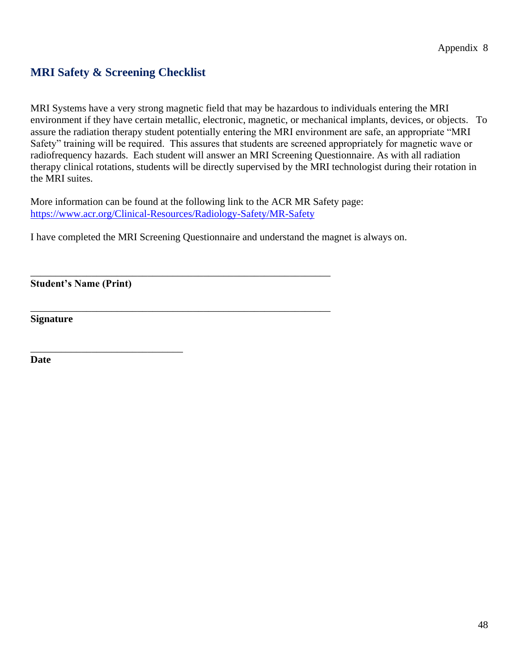## **MRI Safety & Screening Checklist**

MRI Systems have a very strong magnetic field that may be hazardous to individuals entering the MRI environment if they have certain metallic, electronic, magnetic, or mechanical implants, devices, or objects. To assure the radiation therapy student potentially entering the MRI environment are safe, an appropriate "MRI Safety" training will be required. This assures that students are screened appropriately for magnetic wave or radiofrequency hazards. Each student will answer an MRI Screening Questionnaire. As with all radiation therapy clinical rotations, students will be directly supervised by the MRI technologist during their rotation in the MRI suites.

More information can be found at the following link to the ACR MR Safety page: <https://www.acr.org/Clinical-Resources/Radiology-Safety/MR-Safety>

\_\_\_\_\_\_\_\_\_\_\_\_\_\_\_\_\_\_\_\_\_\_\_\_\_\_\_\_\_\_\_\_\_\_\_\_\_\_\_\_\_\_\_\_\_\_\_\_\_\_\_\_\_\_\_\_\_\_\_

\_\_\_\_\_\_\_\_\_\_\_\_\_\_\_\_\_\_\_\_\_\_\_\_\_\_\_\_\_\_\_\_\_\_\_\_\_\_\_\_\_\_\_\_\_\_\_\_\_\_\_\_\_\_\_\_\_\_\_

I have completed the MRI Screening Questionnaire and understand the magnet is always on.

**Student's Name (Print)**

\_\_\_\_\_\_\_\_\_\_\_\_\_\_\_\_\_\_\_\_\_\_\_\_\_\_\_\_\_\_

**Signature**

**Date**